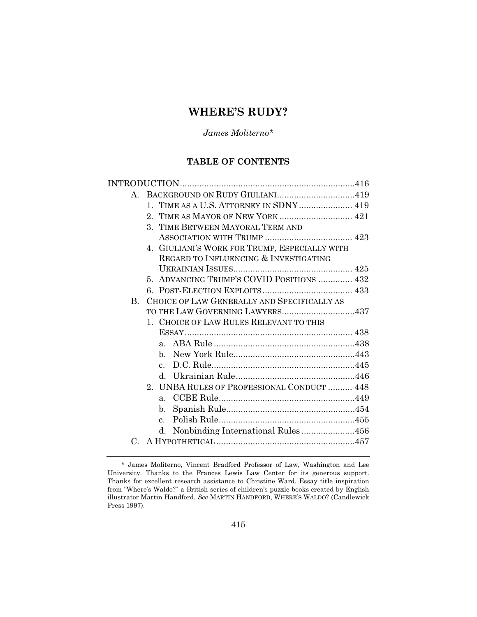# **WHERE'S RUDY?**

*James Moliterno\**

# **TABLE OF CONTENTS**

| $A_{\cdot}$ |                                               |  |
|-------------|-----------------------------------------------|--|
|             | 1. TIME AS A U.S. ATTORNEY IN SDNY 419        |  |
|             | 2. TIME AS MAYOR OF NEW YORK  421             |  |
|             | 3. TIME BETWEEN MAYORAL TERM AND              |  |
|             |                                               |  |
|             | 4. GIULIANI'S WORK FOR TRUMP, ESPECIALLY WITH |  |
|             | REGARD TO INFLUENCING & INVESTIGATING         |  |
|             |                                               |  |
|             | 5. ADVANCING TRUMP'S COVID POSITIONS  432     |  |
|             |                                               |  |
| $\bf{B}$    | CHOICE OF LAW GENERALLY AND SPECIFICALLY AS   |  |
|             | TO THE LAW GOVERNING LAWYERS437               |  |
|             | 1. CHOICE OF LAW RULES RELEVANT TO THIS       |  |
|             |                                               |  |
|             |                                               |  |
|             |                                               |  |
|             | $c_{\cdot}$                                   |  |
|             |                                               |  |
|             | 2. UNBA RULES OF PROFESSIONAL CONDUCT  448    |  |
|             | $\mathbf{a}$ .                                |  |
|             | $\mathbf{b}$ .                                |  |
|             | $c_{\cdot}$                                   |  |
|             | Nonbinding International Rules456<br>d.       |  |
|             |                                               |  |
|             |                                               |  |

<sup>\*</sup> James Moliterno, Vincent Bradford Professor of Law, Washington and Lee University. Thanks to the Frances Lewis Law Center for its generous support. Thanks for excellent research assistance to Christine Ward. Essay title inspiration from "Where's Waldo?" a British series of children's puzzle books created by English illustrator Martin Handford. *See* MARTIN HANDFORD, WHERE'S WALDO? (Candlewick Press 1997).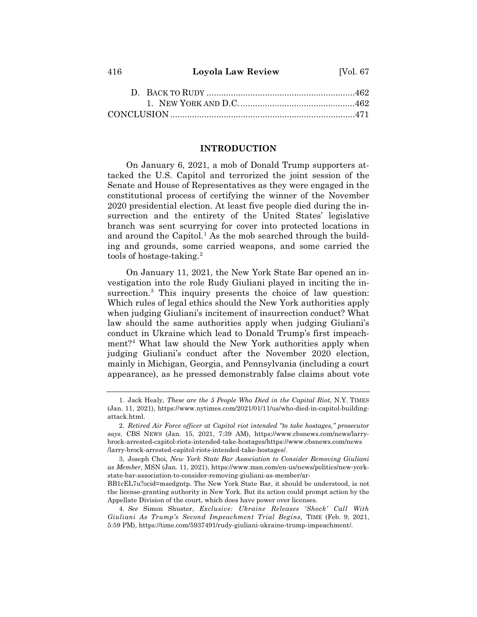| 416 | Loyola Law Review | [Vol. $67$ |
|-----|-------------------|------------|
|     |                   |            |

## **INTRODUCTION**

On January 6, 2021, a mob of Donald Trump supporters attacked the U.S. Capitol and terrorized the joint session of the Senate and House of Representatives as they were engaged in the constitutional process of certifying the winner of the November 2020 presidential election. At least five people died during the insurrection and the entirety of the United States' legislative branch was sent scurrying for cover into protected locations in and around the Capitol.<sup>1</sup> As the mob searched through the building and grounds, some carried weapons, and some carried the tools of hostage-taking.2

On January 11, 2021, the New York State Bar opened an investigation into the role Rudy Giuliani played in inciting the insurrection.<sup>3</sup> This inquiry presents the choice of law question: Which rules of legal ethics should the New York authorities apply when judging Giuliani's incitement of insurrection conduct? What law should the same authorities apply when judging Giuliani's conduct in Ukraine which lead to Donald Trump's first impeachment?4 What law should the New York authorities apply when judging Giuliani's conduct after the November 2020 election, mainly in Michigan, Georgia, and Pennsylvania (including a court appearance), as he pressed demonstrably false claims about vote

<sup>1.</sup> Jack Healy, *These are the 5 People Who Died in the Capital Riot*, N.Y. TIMES (Jan. 11, 2021), https://www.nytimes.com/2021/01/11/us/who-died-in-capitol-buildingattack.html.

<sup>2.</sup> *Retired Air Force officer at Capitol riot intended "to take hostages," prosecutor says*, CBS NEWS (Jan. 15, 2021, 7:39 AM), https://www.cbsnews.com/news/larrybrock-arrested-capitol-riots-intended-take-hostages/https://www.cbsnews.com/news /larry-brock-arrested-capitol-riots-intended-take-hostages/.

<sup>3.</sup> Joseph Choi, *New York State Bar Association to Consider Removing Giuliani as Member*, MSN (Jan. 11, 2021), https://www.msn.com/en-us/news/politics/new-yorkstate-bar-association-to-consider-removing-giuliani-as-member/ar-BB1cEL7u?ocid=msedgntp. The New York State Bar, it should be understood, is not the license-granting authority in New York. But its action could prompt action by the Appellate Division of the court, which does have power over licenses.

<sup>4.</sup> *See* Simon Shuster, *Exclusive: Ukraine Releases 'Shock' Call With Giuliani As Trump's Second Impeachment Trial Begins,* TIME (Feb. 9, 2021, 5:59 PM), https://time.com/5937491/rudy-giuliani-ukraine-trump-impeachment/.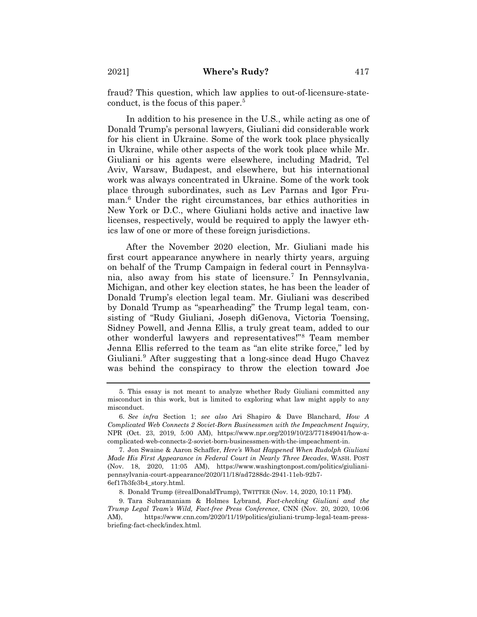fraud? This question, which law applies to out-of-licensure-stateconduct, is the focus of this paper.<sup>5</sup>

In addition to his presence in the U.S., while acting as one of Donald Trump's personal lawyers, Giuliani did considerable work for his client in Ukraine. Some of the work took place physically in Ukraine, while other aspects of the work took place while Mr. Giuliani or his agents were elsewhere, including Madrid, Tel Aviv, Warsaw, Budapest, and elsewhere, but his international work was always concentrated in Ukraine. Some of the work took place through subordinates, such as Lev Parnas and Igor Fruman.6 Under the right circumstances, bar ethics authorities in New York or D.C., where Giuliani holds active and inactive law licenses, respectively, would be required to apply the lawyer ethics law of one or more of these foreign jurisdictions.

After the November 2020 election, Mr. Giuliani made his first court appearance anywhere in nearly thirty years, arguing on behalf of the Trump Campaign in federal court in Pennsylvania, also away from his state of licensure.7 In Pennsylvania, Michigan, and other key election states, he has been the leader of Donald Trump's election legal team. Mr. Giuliani was described by Donald Trump as "spearheading" the Trump legal team, consisting of "Rudy Giuliani, Joseph diGenova, Victoria Toensing, Sidney Powell, and Jenna Ellis, a truly great team, added to our other wonderful lawyers and representatives!"8 Team member Jenna Ellis referred to the team as "an elite strike force," led by Giuliani.<sup>9</sup> After suggesting that a long-since dead Hugo Chavez was behind the conspiracy to throw the election toward Joe

8. Donald Trump (@realDonaldTrump), TWITTER (Nov. 14, 2020, 10:11 PM).

<sup>5.</sup> This essay is not meant to analyze whether Rudy Giuliani committed any misconduct in this work, but is limited to exploring what law might apply to any misconduct.

<sup>6.</sup> *See infra* Section 1; *see also* Ari Shapiro & Dave Blanchard, *How A Complicated Web Connects 2 Soviet-Born Businessmen with the Impeachment Inquiry*, NPR (Oct. 23, 2019, 5:00 AM), https://www.npr.org/2019/10/23/771849041/how-acomplicated-web-connects-2-soviet-born-businessmen-with-the-impeachment-in.

<sup>7.</sup> Jon Swaine & Aaron Schaffer, *Here's What Happened When Rudolph Giuliani Made His First Appearance in Federal Court in Nearly Three Decades*, WASH. POST (Nov. 18, 2020, 11:05 AM), https://www.washingtonpost.com/politics/giulianipennsylvania-court-appearance/2020/11/18/ad7288dc-2941-11eb-92b7- 6ef17b3fe3b4\_story.html.

<sup>9.</sup> Tara Subramaniam & Holmes Lybrand, *Fact-checking Giuliani and the Trump Legal Team's Wild, Fact-free Press Conference*, CNN (Nov. 20, 2020, 10:06 AM), https://www.cnn.com/2020/11/19/politics/giuliani-trump-legal-team-pressbriefing-fact-check/index.html.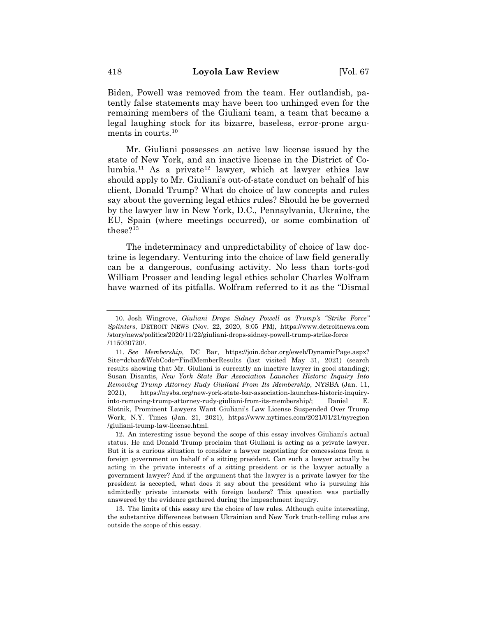Biden, Powell was removed from the team. Her outlandish, patently false statements may have been too unhinged even for the remaining members of the Giuliani team, a team that became a legal laughing stock for its bizarre, baseless, error-prone arguments in courts.10

Mr. Giuliani possesses an active law license issued by the state of New York, and an inactive license in the District of Columbia.<sup>11</sup> As a private<sup>12</sup> lawyer, which at lawyer ethics law should apply to Mr. Giuliani's out-of-state conduct on behalf of his client, Donald Trump? What do choice of law concepts and rules say about the governing legal ethics rules? Should he be governed by the lawyer law in New York, D.C., Pennsylvania, Ukraine, the EU, Spain (where meetings occurred), or some combination of these?<sup>13</sup>

The indeterminacy and unpredictability of choice of law doctrine is legendary. Venturing into the choice of law field generally can be a dangerous, confusing activity. No less than torts-god William Prosser and leading legal ethics scholar Charles Wolfram have warned of its pitfalls. Wolfram referred to it as the "Dismal

<sup>10.</sup> Josh Wingrove, *Giuliani Drops Sidney Powell as Trump's "Strike Force" Splinters*, DETROIT NEWS (Nov. 22, 2020, 8:05 PM), https://www.detroitnews.com /story/news/politics/2020/11/22/giuliani-drops-sidney-powell-trump-strike-force /115030720/.

<sup>11.</sup> *See Membership*, DC Bar, https://join.dcbar.org/eweb/DynamicPage.aspx? Site=dcbar&WebCode=FindMemberResults (last visited May 31, 2021) (search results showing that Mr. Giuliani is currently an inactive lawyer in good standing); Susan Disantis, *New York State Bar Association Launches Historic Inquiry Into Removing Trump Attorney Rudy Giuliani From Its Membership*, NYSBA (Jan. 11, 2021), https://nysba.org/new-york-state-bar-association-launches-historic-inquiryinto-removing-trump-attorney-rudy-giuliani-from-its-membership/; Daniel E. Slotnik, Prominent Lawyers Want Giuliani's Law License Suspended Over Trump Work, N.Y. Times (Jan. 21, 2021), https://www.nytimes.com/2021/01/21/nyregion /giuliani-trump-law-license.html.

<sup>12.</sup> An interesting issue beyond the scope of this essay involves Giuliani's actual status. He and Donald Trump proclaim that Giuliani is acting as a private lawyer. But it is a curious situation to consider a lawyer negotiating for concessions from a foreign government on behalf of a sitting president. Can such a lawyer actually be acting in the private interests of a sitting president or is the lawyer actually a government lawyer? And if the argument that the lawyer is a private lawyer for the president is accepted, what does it say about the president who is pursuing his admittedly private interests with foreign leaders? This question was partially answered by the evidence gathered during the impeachment inquiry.

<sup>13.</sup> The limits of this essay are the choice of law rules. Although quite interesting, the substantive differences between Ukrainian and New York truth-telling rules are outside the scope of this essay.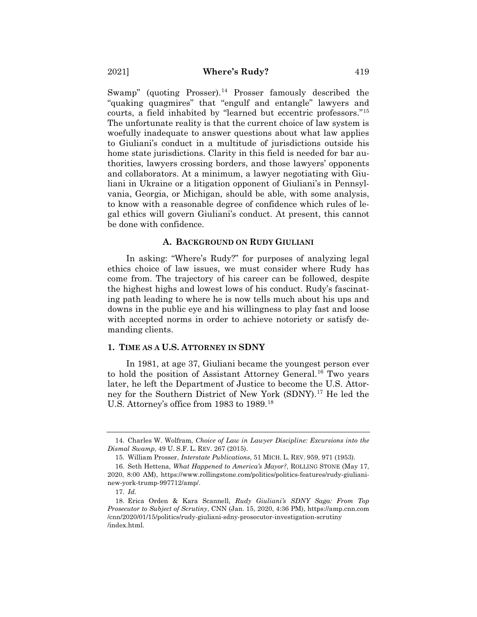Swamp" (quoting Prosser).<sup>14</sup> Prosser famously described the "quaking quagmires" that "engulf and entangle" lawyers and courts, a field inhabited by "learned but eccentric professors."15 The unfortunate reality is that the current choice of law system is woefully inadequate to answer questions about what law applies to Giuliani's conduct in a multitude of jurisdictions outside his home state jurisdictions. Clarity in this field is needed for bar authorities, lawyers crossing borders, and those lawyers' opponents and collaborators. At a minimum, a lawyer negotiating with Giuliani in Ukraine or a litigation opponent of Giuliani's in Pennsylvania, Georgia, or Michigan, should be able, with some analysis, to know with a reasonable degree of confidence which rules of legal ethics will govern Giuliani's conduct. At present, this cannot be done with confidence.

# **A. BACKGROUND ON RUDY GIULIANI**

In asking: "Where's Rudy?" for purposes of analyzing legal ethics choice of law issues, we must consider where Rudy has come from. The trajectory of his career can be followed, despite the highest highs and lowest lows of his conduct. Rudy's fascinating path leading to where he is now tells much about his ups and downs in the public eye and his willingness to play fast and loose with accepted norms in order to achieve notoriety or satisfy demanding clients.

### **1. TIME AS A U.S. ATTORNEY IN SDNY**

In 1981, at age 37, Giuliani became the youngest person ever to hold the position of Assistant Attorney General.<sup>16</sup> Two years later, he left the Department of Justice to become the U.S. Attorney for the Southern District of New York (SDNY).17 He led the U.S. Attorney's office from 1983 to 1989.<sup>18</sup>

<sup>14.</sup> Charles W. Wolfram, *Choice of Law in Lawyer Discipline: Excursions into the Dismal Swamp*, 49 U. S.F. L. REV. 267 (2015).

<sup>15.</sup> William Prosser, *Interstate Publications*, 51 MICH. L. REV. 959, 971 (1953).

<sup>16.</sup> Seth Hettena, *What Happened to America's Mayor?*, ROLLING STONE (May 17, 2020, 8:00 AM), https://www.rollingstone.com/politics/politics-features/rudy-giulianinew-york-trump-997712/amp/.

<sup>17.</sup> *Id.*

<sup>18.</sup> Erica Orden & Kara Scannell, *Rudy Giuliani's SDNY Saga: From Top Prosecutor to Subject of Scrutiny*, CNN (Jan. 15, 2020, 4:36 PM), https://amp.cnn.com /cnn/2020/01/15/politics/rudy-giuliani-sdny-prosecutor-investigation-scrutiny /index.html.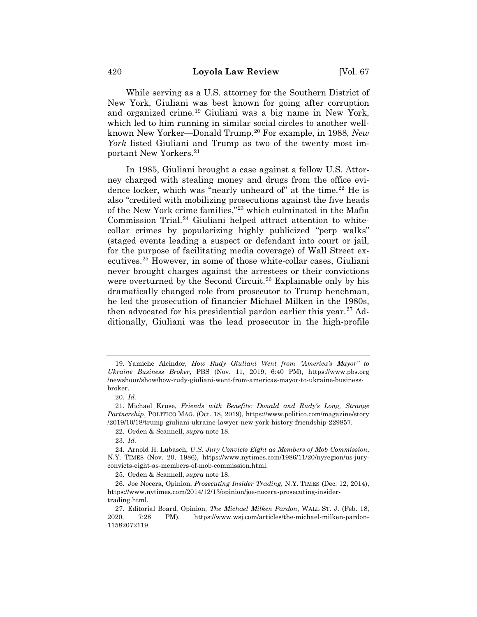While serving as a U.S. attorney for the Southern District of New York, Giuliani was best known for going after corruption and organized crime.19 Giuliani was a big name in New York, which led to him running in similar social circles to another wellknown New Yorker—Donald Trump.20 For example, in 1988, *New York* listed Giuliani and Trump as two of the twenty most important New Yorkers.21

In 1985, Giuliani brought a case against a fellow U.S. Attorney charged with stealing money and drugs from the office evidence locker, which was "nearly unheard of" at the time.<sup>22</sup> He is also "credited with mobilizing prosecutions against the five heads of the New York crime families,"23 which culminated in the Mafia Commission Trial.<sup>24</sup> Giuliani helped attract attention to whitecollar crimes by popularizing highly publicized "perp walks" (staged events leading a suspect or defendant into court or jail, for the purpose of facilitating media coverage) of Wall Street executives.25 However, in some of those white-collar cases, Giuliani never brought charges against the arrestees or their convictions were overturned by the Second Circuit.<sup>26</sup> Explainable only by his dramatically changed role from prosecutor to Trump henchman, he led the prosecution of financier Michael Milken in the 1980s, then advocated for his presidential pardon earlier this year.<sup>27</sup> Additionally, Giuliani was the lead prosecutor in the high-profile

<sup>19.</sup> Yamiche Alcindor, *How Rudy Giuliani Went from "America's Mayor" to Ukraine Business Broker*, PBS (Nov. 11, 2019, 6:40 PM), https://www.pbs.org /newshour/show/how-rudy-giuliani-went-from-americas-mayor-to-ukraine-businessbroker.

<sup>20.</sup> *Id.*

<sup>21.</sup> Michael Kruse, *Friends with Benefits: Donald and Rudy's Long, Strange Partnership*, POLITICO MAG. (Oct. 18, 2019), https://www.politico.com/magazine/story /2019/10/18/trump-giuliani-ukraine-lawyer-new-york-history-friendship-229857.

<sup>22.</sup> Orden & Scannell, *supra* note 18.

<sup>23.</sup> *Id.*

<sup>24.</sup> Arnold H. Lubasch, *U.S. Jury Convicts Eight as Members of Mob Commission*, N.Y. TIMES (Nov. 20, 1986), https://www.nytimes.com/1986/11/20/nyregion/us-juryconvicts-eight-as-members-of-mob-commission.html.

<sup>25.</sup> Orden & Scannell, *supra* note 18.

<sup>26.</sup> Joe Nocera, Opinion, *Prosecuting Insider Trading*, N.Y. TIMES (Dec. 12, 2014), https://www.nytimes.com/2014/12/13/opinion/joe-nocera-prosecuting-insidertrading.html.

<sup>27.</sup> Editorial Board, Opinion, *The Michael Milken Pardon*, WALL ST. J. (Feb. 18, 2020, 7:28 PM), https://www.wsj.com/articles/the-michael-milken-pardon-11582072119.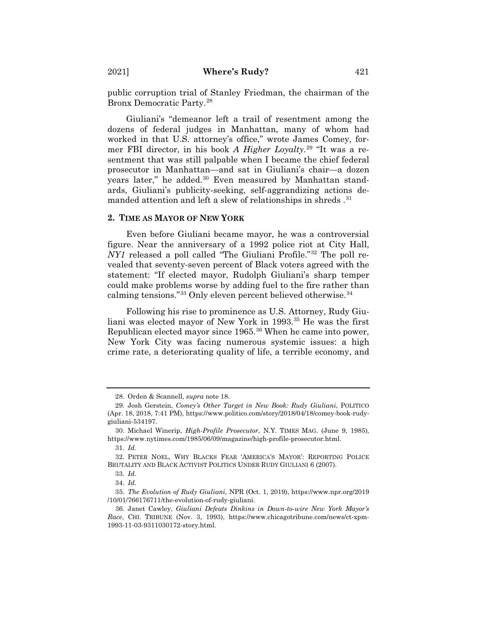public corruption trial of Stanley Friedman, the chairman of the Bronx Democratic Party.28

Giuliani's "demeanor left a trail of resentment among the dozens of federal judges in Manhattan, many of whom had worked in that U.S. attorney's office," wrote James Comey, former FBI director, in his book *A Higher Loyalty*. <sup>29</sup> "It was a resentment that was still palpable when I became the chief federal prosecutor in Manhattan—and sat in Giuliani's chair—a dozen years later," he added.<sup>30</sup> Even measured by Manhattan standards, Giuliani's publicity-seeking, self-aggrandizing actions demanded attention and left a slew of relationships in shreds.<sup>31</sup>

# **2. TIME AS MAYOR OF NEW YORK**

Even before Giuliani became mayor, he was a controversial figure. Near the anniversary of a 1992 police riot at City Hall, *NY1* released a poll called "The Giuliani Profile."<sup>32</sup> The poll revealed that seventy-seven percent of Black voters agreed with the statement: "If elected mayor, Rudolph Giuliani's sharp temper could make problems worse by adding fuel to the fire rather than calming tensions."<sup>33</sup> Only eleven percent believed otherwise.<sup>34</sup>

Following his rise to prominence as U.S. Attorney, Rudy Giuliani was elected mayor of New York in 1993.35 He was the first Republican elected mayor since 1965.36 When he came into power, New York City was facing numerous systemic issues: a high crime rate, a deteriorating quality of life, a terrible economy, and

<sup>28.</sup> Orden & Scannell, *supra* note 18.

<sup>29.</sup> Josh Gerstein, *Comey's Other Target in New Book: Rudy Giuliani*, POLITICO (Apr. 18, 2018, 7:41 PM), https://www.politico.com/story/2018/04/18/comey-book-rudygiuliani-534197.

<sup>30.</sup> Michael Winerip, *High-Profile Prosecutor*, N.Y. TIMES MAG. (June 9, 1985), https://www.nytimes.com/1985/06/09/magazine/high-profile-prosecutor.html.

<sup>31.</sup> *Id.*

<sup>32.</sup> PETER NOEL, WHY BLACKS FEAR 'AMERICA'S MAYOR': REPORTING POLICE BRUTALITY AND BLACK ACTIVIST POLITICS UNDER RUDY GIULIANI 6 (2007).

<sup>33.</sup> *Id.*

<sup>34.</sup> *Id.*

<sup>35.</sup> *The Evolution of Rudy Giuliani*, NPR (Oct. 1, 2019), https://www.npr.org/2019 /10/01/766176711/the-evolution-of-rudy-giuliani.

<sup>36.</sup> Janet Cawley, *Giuliani Defeats Dinkins in Down-to-wire New York Mayor's Race*, CHI. TRIBUNE (Nov. 3, 1993), https://www.chicagotribune.com/news/ct-xpm-1993-11-03-9311030172-story.html.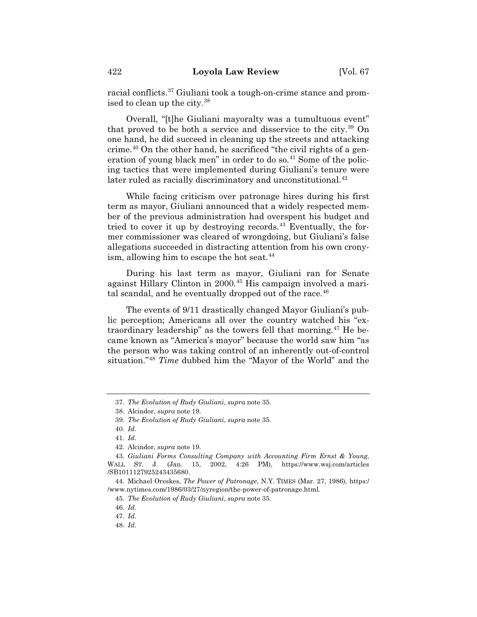racial conflicts.<sup>37</sup> Giuliani took a tough-on-crime stance and promised to clean up the city.38

Overall, "[t]he Giuliani mayoralty was a tumultuous event" that proved to be both a service and disservice to the city.39 On one hand, he did succeed in cleaning up the streets and attacking crime.40 On the other hand, he sacrificed "the civil rights of a generation of young black men" in order to do so.<sup>41</sup> Some of the policing tactics that were implemented during Giuliani's tenure were later ruled as racially discriminatory and unconstitutional.<sup>42</sup>

While facing criticism over patronage hires during his first term as mayor, Giuliani announced that a widely respected member of the previous administration had overspent his budget and tried to cover it up by destroying records.<sup>43</sup> Eventually, the former commissioner was cleared of wrongdoing, but Giuliani's false allegations succeeded in distracting attention from his own cronyism, allowing him to escape the hot seat.<sup>44</sup>

During his last term as mayor, Giuliani ran for Senate against Hillary Clinton in 2000.45 His campaign involved a marital scandal, and he eventually dropped out of the race.<sup>46</sup>

The events of 9/11 drastically changed Mayor Giuliani's public perception; Americans all over the country watched his "extraordinary leadership" as the towers fell that morning.47 He became known as "America's mayor" because the world saw him "as the person who was taking control of an inherently out-of-control situation."48 *Time* dubbed him the "Mayor of the World" and the

<sup>37.</sup> *The Evolution of Rudy Giuliani*, *supra* note 35.

<sup>38.</sup> Alcindor, *supra* note 19.

<sup>39.</sup> *The Evolution of Rudy Giuliani*, *supra* note 35.

<sup>40.</sup> *Id.*

<sup>41.</sup> *Id.*

<sup>42.</sup> Alcindor, *supra* note 19.

<sup>43.</sup> *Giuliani Forms Consulting Company with Accounting Firm Ernst & Young*, WALL ST. J. (Jan. 15, 2002, 4:26 PM), https://www.wsj.com/articles /SB1011127925243435680.

<sup>44.</sup> Michael Oreskes, *The Power of Patronage*, N.Y. TIMES (Mar. 27, 1986), https:/ /www.nytimes.com/1986/03/27/nyregion/the-power-of-patronage.html.

<sup>45.</sup> *The Evolution of Rudy Giuliani*, *supra* note 35.

<sup>46.</sup> *Id.*

<sup>47.</sup> *Id.*

<sup>48.</sup> *Id.*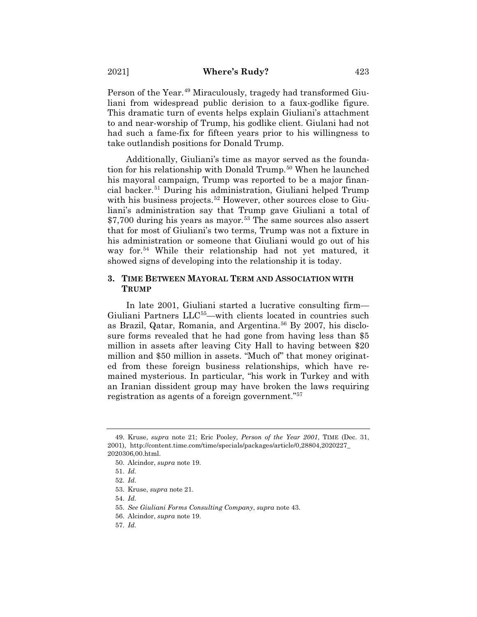Person of the Year.<sup>49</sup> Miraculously, tragedy had transformed Giuliani from widespread public derision to a faux-godlike figure. This dramatic turn of events helps explain Giuliani's attachment to and near-worship of Trump, his godlike client. Giulani had not had such a fame-fix for fifteen years prior to his willingness to take outlandish positions for Donald Trump.

Additionally, Giuliani's time as mayor served as the foundation for his relationship with Donald Trump.<sup>50</sup> When he launched his mayoral campaign, Trump was reported to be a major financial backer.51 During his administration, Giuliani helped Trump with his business projects.<sup>52</sup> However, other sources close to Giuliani's administration say that Trump gave Giuliani a total of  $$7,700$  during his years as mayor.<sup>53</sup> The same sources also assert that for most of Giuliani's two terms, Trump was not a fixture in his administration or someone that Giuliani would go out of his way for.54 While their relationship had not yet matured, it showed signs of developing into the relationship it is today.

# **3. TIME BETWEEN MAYORAL TERM AND ASSOCIATION WITH TRUMP**

In late 2001, Giuliani started a lucrative consulting firm— Giuliani Partners LLC<sup>55</sup>—with clients located in countries such as Brazil, Qatar, Romania, and Argentina.<sup>56</sup> By 2007, his disclosure forms revealed that he had gone from having less than \$5 million in assets after leaving City Hall to having between \$20 million and \$50 million in assets. "Much of" that money originated from these foreign business relationships, which have remained mysterious. In particular, "his work in Turkey and with an Iranian dissident group may have broken the laws requiring registration as agents of a foreign government."57

<sup>49.</sup> Kruse, *supra* note 21; Eric Pooley, *Person of the Year 2001*, TIME (Dec. 31, 2001), http://content.time.com/time/specials/packages/article/0,28804,2020227\_ 2020306,00.html.

<sup>50.</sup> Alcindor, *supra* note 19.

<sup>51.</sup> *Id.*

<sup>52.</sup> *Id.*

<sup>53.</sup> Kruse, *supra* note 21.

<sup>54.</sup> *Id.*

<sup>55.</sup> *See Giuliani Forms Consulting Company*, *supra* note 43.

<sup>56.</sup> Alcindor, *supra* note 19.

<sup>57.</sup> *Id.*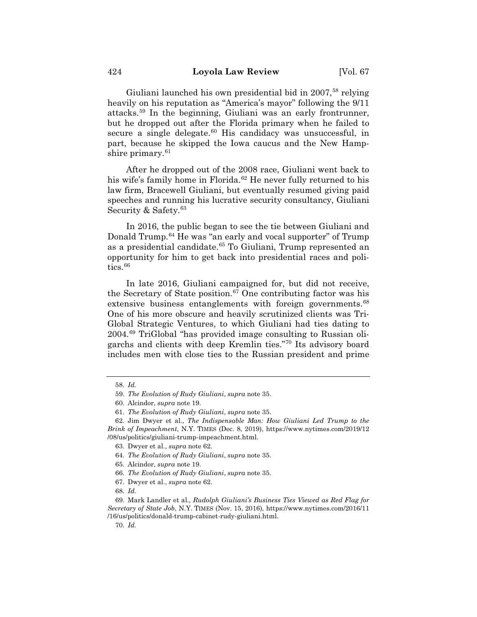Giuliani launched his own presidential bid in  $2007$ ,<sup>58</sup> relying heavily on his reputation as "America's mayor" following the 9/11 attacks.59 In the beginning, Giuliani was an early frontrunner, but he dropped out after the Florida primary when he failed to secure a single delegate. $60$  His candidacy was unsuccessful, in part, because he skipped the Iowa caucus and the New Hampshire primary. $61$ 

After he dropped out of the 2008 race, Giuliani went back to his wife's family home in Florida.<sup>62</sup> He never fully returned to his law firm, Bracewell Giuliani, but eventually resumed giving paid speeches and running his lucrative security consultancy, Giuliani Security & Safety.<sup>63</sup>

In 2016, the public began to see the tie between Giuliani and Donald Trump.64 He was "an early and vocal supporter" of Trump as a presidential candidate.<sup>65</sup> To Giuliani, Trump represented an opportunity for him to get back into presidential races and politics.<sup>66</sup>

In late 2016, Giuliani campaigned for, but did not receive, the Secretary of State position.<sup>67</sup> One contributing factor was his extensive business entanglements with foreign governments.<sup>68</sup> One of his more obscure and heavily scrutinized clients was Tri-Global Strategic Ventures, to which Giuliani had ties dating to 2004.69 TriGlobal "has provided image consulting to Russian oligarchs and clients with deep Kremlin ties."70 Its advisory board includes men with close ties to the Russian president and prime

<sup>58.</sup> *Id.*

<sup>59.</sup> *The Evolution of Rudy Giuliani*, *supra* note 35.

<sup>60.</sup> Alcindor, *supra* note 19.

<sup>61.</sup> *The Evolution of Rudy Giuliani*, *supra* note 35.

<sup>62.</sup> Jim Dwyer et al., *The Indispensable Man: How Giuliani Led Trump to the Brink of Impeachment*, N.Y. TIMES (Dec. 8, 2019), https://www.nytimes.com/2019/12 /08/us/politics/giuliani-trump-impeachment.html.

<sup>63.</sup> Dwyer et al., *supra* note 62.

<sup>64.</sup> *The Evolution of Rudy Giuliani*, *supra* note 35.

<sup>65.</sup> Alcindor, *supra* note 19.

<sup>66.</sup> *The Evolution of Rudy Giuliani*, *supra* note 35.

<sup>67.</sup> Dwyer et al., *supra* note 62.

<sup>68.</sup> *Id.*

<sup>69.</sup> Mark Landler et al., *Rudolph Giuliani's Business Ties Viewed as Red Flag for Secretary of State Job*, N.Y. TIMES (Nov. 15, 2016), https://www.nytimes.com/2016/11 /16/us/politics/donald-trump-cabinet-rudy-giuliani.html.

<sup>70.</sup> *Id.*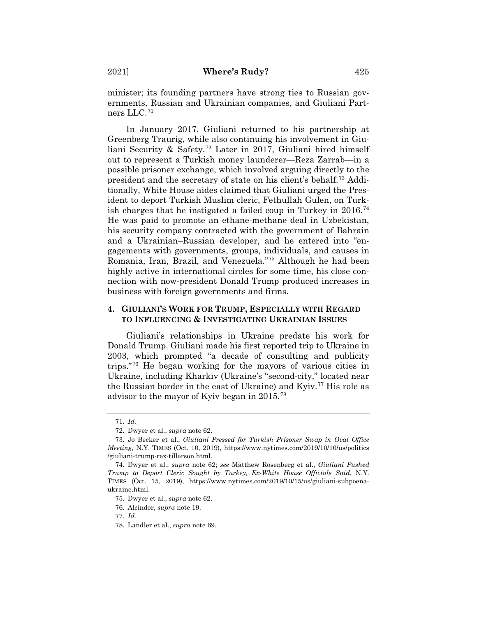minister; its founding partners have strong ties to Russian governments, Russian and Ukrainian companies, and Giuliani Partners LLC.71

In January 2017, Giuliani returned to his partnership at Greenberg Traurig, while also continuing his involvement in Giuliani Security & Safety.72 Later in 2017, Giuliani hired himself out to represent a Turkish money launderer—Reza Zarrab—in a possible prisoner exchange, which involved arguing directly to the president and the secretary of state on his client's behalf.73 Additionally, White House aides claimed that Giuliani urged the President to deport Turkish Muslim cleric, Fethullah Gulen, on Turkish charges that he instigated a failed coup in Turkey in  $2016<sup>74</sup>$ He was paid to promote an ethane-methane deal in Uzbekistan, his security company contracted with the government of Bahrain and a Ukrainian–Russian developer, and he entered into "engagements with governments, groups, individuals, and causes in Romania, Iran, Brazil, and Venezuela."75 Although he had been highly active in international circles for some time, his close connection with now-president Donald Trump produced increases in business with foreign governments and firms.

# **4. GIULIANI'S WORK FOR TRUMP, ESPECIALLY WITH REGARD TO INFLUENCING & INVESTIGATING UKRAINIAN ISSUES**

Giuliani's relationships in Ukraine predate his work for Donald Trump. Giuliani made his first reported trip to Ukraine in 2003, which prompted "a decade of consulting and publicity trips."76 He began working for the mayors of various cities in Ukraine, including Kharkiv (Ukraine's "second-city," located near the Russian border in the east of Ukraine) and Kyiv.<sup>77</sup> His role as advisor to the mayor of Kyiv began in 2015.78

77. *Id.*

<sup>71.</sup> *Id.*

<sup>72.</sup> Dwyer et al., *supra* note 62.

<sup>73.</sup> Jo Becker et al., *Giuliani Pressed for Turkish Prisoner Swap in Oval Office Meeting*, N.Y. TIMES (Oct. 10, 2019), https://www.nytimes.com/2019/10/10/us/politics /giuliani-trump-rex-tillerson.html.

<sup>74.</sup> Dwyer et al., *supra* note 62; *see* Matthew Rosenberg et al., *Giuliani Pushed Trump to Deport Cleric Sought by Turkey, Ex-White House Officials Said*, N.Y. TIMES (Oct. 15, 2019), https://www.nytimes.com/2019/10/15/us/giuliani-subpoenaukraine.html.

<sup>75.</sup> Dwyer et al., *supra* note 62.

<sup>76.</sup> Alcindor, *supra* note 19.

<sup>78.</sup> Landler et al., *supra* note 69.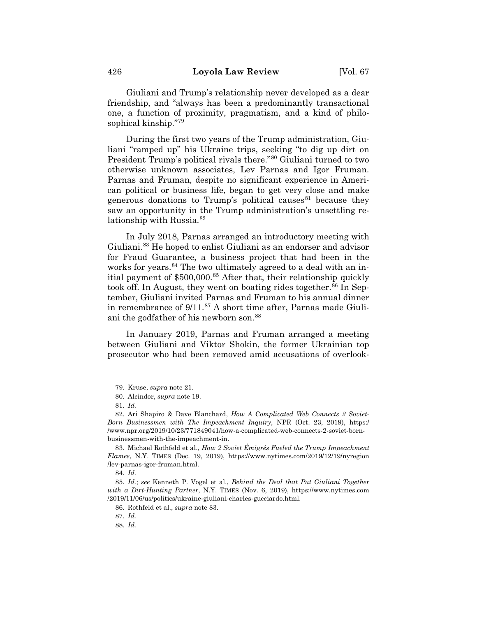Giuliani and Trump's relationship never developed as a dear friendship, and "always has been a predominantly transactional one, a function of proximity, pragmatism, and a kind of philosophical kinship."79

During the first two years of the Trump administration, Giuliani "ramped up" his Ukraine trips, seeking "to dig up dirt on President Trump's political rivals there."80 Giuliani turned to two otherwise unknown associates, Lev Parnas and Igor Fruman. Parnas and Fruman, despite no significant experience in American political or business life, began to get very close and make generous donations to Trump's political causes<sup>81</sup> because they saw an opportunity in the Trump administration's unsettling relationship with Russia.<sup>82</sup>

In July 2018, Parnas arranged an introductory meeting with Giuliani.83 He hoped to enlist Giuliani as an endorser and advisor for Fraud Guarantee, a business project that had been in the works for years.<sup>84</sup> The two ultimately agreed to a deal with an initial payment of  $$500,000$ .<sup>85</sup> After that, their relationship quickly took off. In August, they went on boating rides together.<sup>86</sup> In September, Giuliani invited Parnas and Fruman to his annual dinner in remembrance of  $9/11$ .<sup>87</sup> A short time after, Parnas made Giuliani the godfather of his newborn son.<sup>88</sup>

In January 2019, Parnas and Fruman arranged a meeting between Giuliani and Viktor Shokin, the former Ukrainian top prosecutor who had been removed amid accusations of overlook-

84. *Id.*

<sup>79.</sup> Kruse, *supra* note 21.

<sup>80.</sup> Alcindor, *supra* note 19.

<sup>81.</sup> *Id.*

<sup>82.</sup> Ari Shapiro & Dave Blanchard, *How A Complicated Web Connects 2 Soviet-Born Businessmen with The Impeachment Inquiry*, NPR (Oct. 23, 2019), https:/ /www.npr.org/2019/10/23/771849041/how-a-complicated-web-connects-2-soviet-bornbusinessmen-with-the-impeachment-in.

<sup>83.</sup> Michael Rothfeld et al., *How 2 Soviet Émigrés Fueled the Trump Impeachment Flames*, N.Y. TIMES (Dec. 19, 2019), https://www.nytimes.com/2019/12/19/nyregion /lev-parnas-igor-fruman.html.

<sup>85.</sup> *Id.*; *see* Kenneth P. Vogel et al., *Behind the Deal that Put Giuliani Together with a Dirt-Hunting Partner*, N.Y. TIMES (Nov. 6, 2019), https://www.nytimes.com /2019/11/06/us/politics/ukraine-giuliani-charles-gucciardo.html.

<sup>86.</sup> Rothfeld et al., *supra* note 83.

<sup>87.</sup> *Id.*

<sup>88.</sup> *Id.*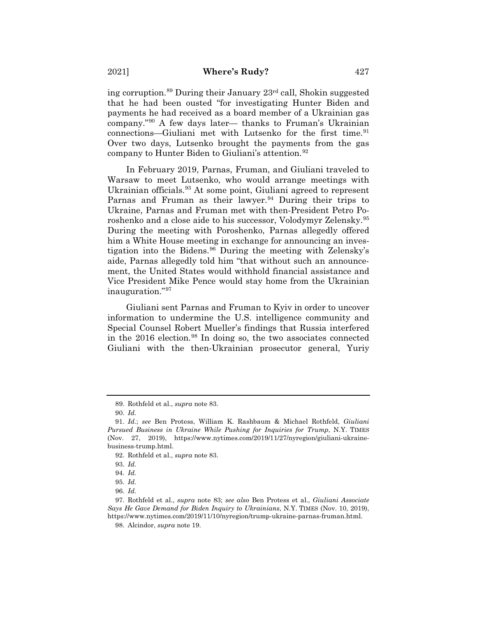ing corruption.89 During their January 23rd call, Shokin suggested that he had been ousted "for investigating Hunter Biden and payments he had received as a board member of a Ukrainian gas company."90 A few days later— thanks to Fruman's Ukrainian connections—Giuliani met with Lutsenko for the first time.<sup>91</sup> Over two days, Lutsenko brought the payments from the gas company to Hunter Biden to Giuliani's attention.<sup>92</sup>

In February 2019, Parnas, Fruman, and Giuliani traveled to Warsaw to meet Lutsenko, who would arrange meetings with Ukrainian officials.93 At some point, Giuliani agreed to represent Parnas and Fruman as their lawyer. $94$  During their trips to Ukraine, Parnas and Fruman met with then-President Petro Poroshenko and a close aide to his successor, Volodymyr Zelensky.95 During the meeting with Poroshenko, Parnas allegedly offered him a White House meeting in exchange for announcing an investigation into the Bidens.96 During the meeting with Zelensky's aide, Parnas allegedly told him "that without such an announcement, the United States would withhold financial assistance and Vice President Mike Pence would stay home from the Ukrainian inauguration."97

Giuliani sent Parnas and Fruman to Kyiv in order to uncover information to undermine the U.S. intelligence community and Special Counsel Robert Mueller's findings that Russia interfered in the 2016 election.98 In doing so, the two associates connected Giuliani with the then-Ukrainian prosecutor general, Yuriy

<sup>89.</sup> Rothfeld et al., *supra* note 83.

<sup>90.</sup> *Id.*

<sup>91.</sup> *Id.*; *see* Ben Protess, William K. Rashbaum & Michael Rothfeld, *Giuliani Pursued Business in Ukraine While Pushing for Inquiries for Trump*, N.Y. TIMES (Nov. 27, 2019), https://www.nytimes.com/2019/11/27/nyregion/giuliani-ukrainebusiness-trump.html.

<sup>92.</sup> Rothfeld et al., *supra* note 83.

<sup>93.</sup> *Id.*

<sup>94.</sup> *Id.*

<sup>95.</sup> *Id.*

<sup>96.</sup> *Id.*

<sup>97.</sup> Rothfeld et al., *supra* note 83; *see also* Ben Protess et al., *Giuliani Associate Says He Gave Demand for Biden Inquiry to Ukrainians*, N.Y. TIMES (Nov. 10, 2019), https://www.nytimes.com/2019/11/10/nyregion/trump-ukraine-parnas-fruman.html.

<sup>98.</sup> Alcindor, *supra* note 19.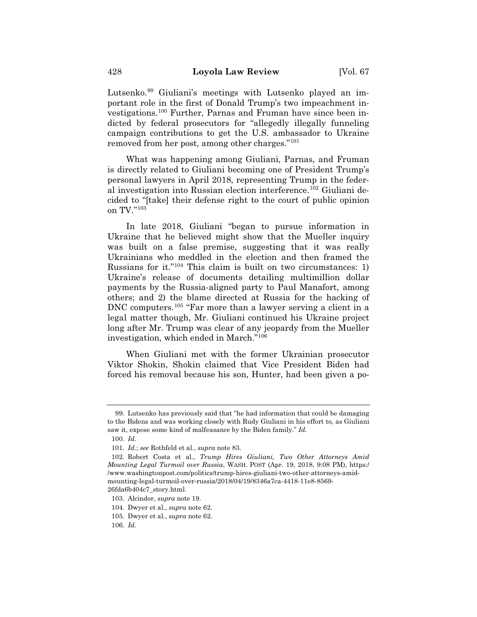Lutsenko.<sup>99</sup> Giuliani's meetings with Lutsenko played an important role in the first of Donald Trump's two impeachment investigations.100 Further, Parnas and Fruman have since been indicted by federal prosecutors for "allegedly illegally funneling campaign contributions to get the U.S. ambassador to Ukraine removed from her post, among other charges."101

What was happening among Giuliani, Parnas, and Fruman is directly related to Giuliani becoming one of President Trump's personal lawyers in April 2018, representing Trump in the federal investigation into Russian election interference.102 Giuliani decided to "[take] their defense right to the court of public opinion on TV."103

In late 2018, Giuliani "began to pursue information in Ukraine that he believed might show that the Mueller inquiry was built on a false premise, suggesting that it was really Ukrainians who meddled in the election and then framed the Russians for it."104 This claim is built on two circumstances: 1) Ukraine's release of documents detailing multimillion dollar payments by the Russia-aligned party to Paul Manafort, among others; and 2) the blame directed at Russia for the hacking of DNC computers.<sup>105</sup> "Far more than a lawyer serving a client in a legal matter though, Mr. Giuliani continued his Ukraine project long after Mr. Trump was clear of any jeopardy from the Mueller investigation, which ended in March."106

When Giuliani met with the former Ukrainian prosecutor Viktor Shokin, Shokin claimed that Vice President Biden had forced his removal because his son, Hunter, had been given a po-

<sup>99.</sup> Lutsenko has previously said that "he had information that could be damaging to the Bidens and was working closely with Rudy Giuliani in his effort to, as Giuliani saw it, expose some kind of malfeasance by the Biden family." *Id.*

<sup>100.</sup> *Id.*

<sup>101.</sup> *Id.*; *see* Rothfeld et al., *supra* note 83.

<sup>102.</sup> Robert Costa et al., *Trump Hires Giuliani, Two Other Attorneys Amid Mounting Legal Turmoil over Russia*, WASH. POST (Apr. 19, 2018, 9:08 PM), https:/ /www.washingtonpost.com/politics/trump-hires-giuliani-two-other-attorneys-amidmounting-legal-turmoil-over-russia/2018/04/19/8346a7ca-4418-11e8-8569- 26fda6b404c7\_story.html.

<sup>103.</sup> Alcindor, *supra* note 19.

<sup>104.</sup> Dwyer et al., *supra* note 62.

<sup>105.</sup> Dwyer et al., *supra* note 62*.*

<sup>106.</sup> *Id.*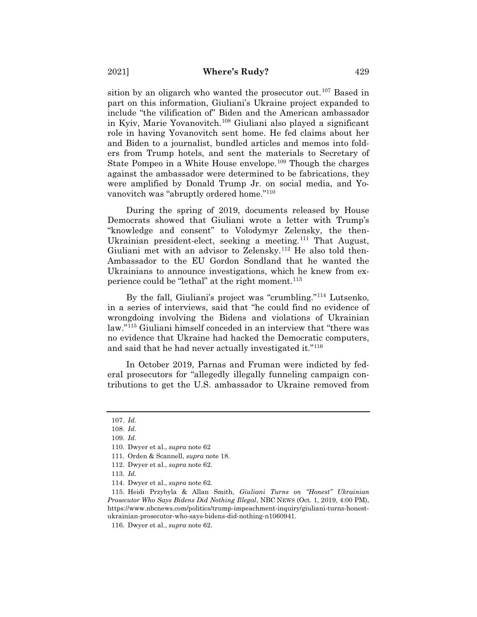sition by an oligarch who wanted the prosecutor out.<sup>107</sup> Based in part on this information, Giuliani's Ukraine project expanded to include "the vilification of" Biden and the American ambassador in Kyiv, Marie Yovanovitch.108 Giuliani also played a significant role in having Yovanovitch sent home. He fed claims about her and Biden to a journalist, bundled articles and memos into folders from Trump hotels, and sent the materials to Secretary of State Pompeo in a White House envelope.109 Though the charges against the ambassador were determined to be fabrications, they were amplified by Donald Trump Jr. on social media, and Yovanovitch was "abruptly ordered home."110

During the spring of 2019, documents released by House Democrats showed that Giuliani wrote a letter with Trump's "knowledge and consent" to Volodymyr Zelensky, the then-Ukrainian president-elect, seeking a meeting.<sup>111</sup> That August, Giuliani met with an advisor to Zelensky.112 He also told then-Ambassador to the EU Gordon Sondland that he wanted the Ukrainians to announce investigations, which he knew from experience could be "lethal" at the right moment.<sup>113</sup>

By the fall, Giuliani's project was "crumbling."114 Lutsenko, in a series of interviews, said that "he could find no evidence of wrongdoing involving the Bidens and violations of Ukrainian law."115 Giuliani himself conceded in an interview that "there was no evidence that Ukraine had hacked the Democratic computers, and said that he had never actually investigated it."116

In October 2019, Parnas and Fruman were indicted by federal prosecutors for "allegedly illegally funneling campaign contributions to get the U.S. ambassador to Ukraine removed from

<sup>107.</sup> *Id.*

<sup>108.</sup> *Id.*

<sup>109.</sup> *Id.*

<sup>110.</sup> Dwyer et al., *supra* note 62

<sup>111.</sup> Orden & Scannell, *supra* note 18.

<sup>112.</sup> Dwyer et al., *supra* note 62.

<sup>113.</sup> *Id.*

<sup>114.</sup> Dwyer et al., *supra* note 62*.*

<sup>115.</sup> Heidi Przybyla & Allan Smith, *Giuliani Turns on "Honest" Ukrainian Prosecutor Who Says Bidens Did Nothing Illegal*, NBC NEWS (Oct. 1, 2019, 4:00 PM), https://www.nbcnews.com/politics/trump-impeachment-inquiry/giuliani-turns-honestukrainian-prosecutor-who-says-bidens-did-nothing-n1060941.

<sup>116.</sup> Dwyer et al., *supra* note 62.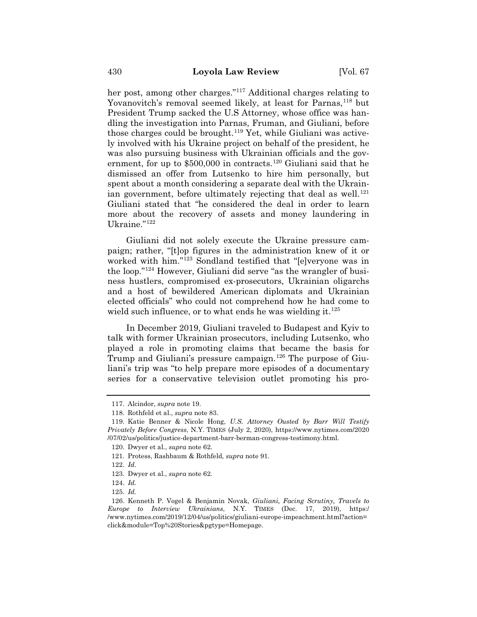her post, among other charges."117 Additional charges relating to Yovanovitch's removal seemed likely, at least for Parnas,<sup>118</sup> but President Trump sacked the U.S Attorney, whose office was handling the investigation into Parnas, Fruman, and Giuliani, before those charges could be brought.<sup>119</sup> Yet, while Giuliani was actively involved with his Ukraine project on behalf of the president, he was also pursuing business with Ukrainian officials and the government, for up to  $$500,000$  in contracts.<sup>120</sup> Giuliani said that he dismissed an offer from Lutsenko to hire him personally, but spent about a month considering a separate deal with the Ukrainian government, before ultimately rejecting that deal as well.<sup>121</sup> Giuliani stated that "he considered the deal in order to learn more about the recovery of assets and money laundering in Ukraine."122

Giuliani did not solely execute the Ukraine pressure campaign; rather, "[t]op figures in the administration knew of it or worked with him."123 Sondland testified that "[e]veryone was in the loop."124 However, Giuliani did serve "as the wrangler of business hustlers, compromised ex-prosecutors, Ukrainian oligarchs and a host of bewildered American diplomats and Ukrainian elected officials" who could not comprehend how he had come to wield such influence, or to what ends he was wielding it.<sup>125</sup>

In December 2019, Giuliani traveled to Budapest and Kyiv to talk with former Ukrainian prosecutors, including Lutsenko, who played a role in promoting claims that became the basis for Trump and Giuliani's pressure campaign.<sup>126</sup> The purpose of Giuliani's trip was "to help prepare more episodes of a documentary series for a conservative television outlet promoting his pro-

<sup>117.</sup> Alcindor, *supra* note 19.

<sup>118.</sup> Rothfeld et al., *supra* note 83.

<sup>119.</sup> Katie Benner & Nicole Hong, *U.S. Attorney Ousted by Barr Will Testify Privately Before Congress*, N.Y. TIMES (July 2, 2020), https://www.nytimes.com/2020 /07/02/us/politics/justice-department-barr-berman-congress-testimony.html.

<sup>120.</sup> Dwyer et al., *supra* note 62.

<sup>121.</sup> Protess, Rashbaum & Rothfeld, *supra* note 91.

<sup>122.</sup> *Id.*

<sup>123.</sup> Dwyer et al., *supra* note 62.

<sup>124.</sup> *Id.*

<sup>125.</sup> *Id.*

<sup>126.</sup> Kenneth P. Vogel & Benjamin Novak, *Giuliani, Facing Scrutiny, Travels to Europe to Interview Ukrainians*, N.Y. TIMES (Dec. 17, 2019), https:/ /www.nytimes.com/2019/12/04/us/politics/giuliani-europe-impeachment.html?action= click&module=Top%20Stories&pgtype=Homepage.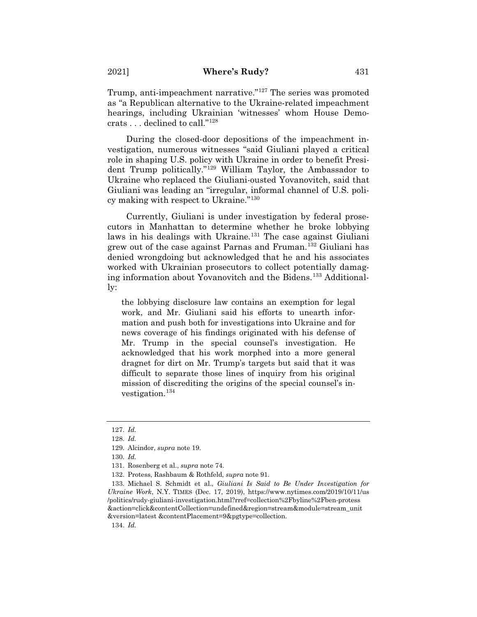Trump, anti-impeachment narrative."127 The series was promoted as "a Republican alternative to the Ukraine-related impeachment hearings, including Ukrainian 'witnesses' whom House Democrats . . . declined to call."128

During the closed-door depositions of the impeachment investigation, numerous witnesses "said Giuliani played a critical role in shaping U.S. policy with Ukraine in order to benefit President Trump politically."129 William Taylor, the Ambassador to Ukraine who replaced the Giuliani-ousted Yovanovitch, said that Giuliani was leading an "irregular, informal channel of U.S. policy making with respect to Ukraine."130

Currently, Giuliani is under investigation by federal prosecutors in Manhattan to determine whether he broke lobbying laws in his dealings with Ukraine.<sup>131</sup> The case against Giuliani grew out of the case against Parnas and Fruman.132 Giuliani has denied wrongdoing but acknowledged that he and his associates worked with Ukrainian prosecutors to collect potentially damaging information about Yovanovitch and the Bidens.<sup>133</sup> Additionally:

the lobbying disclosure law contains an exemption for legal work, and Mr. Giuliani said his efforts to unearth information and push both for investigations into Ukraine and for news coverage of his findings originated with his defense of Mr. Trump in the special counsel's investigation. He acknowledged that his work morphed into a more general dragnet for dirt on Mr. Trump's targets but said that it was difficult to separate those lines of inquiry from his original mission of discrediting the origins of the special counsel's investigation.<sup>134</sup>

134. *Id.*

<sup>127.</sup> *Id.*

<sup>128.</sup> *Id.*

<sup>129.</sup> Alcindor, *supra* note 19.

<sup>130.</sup> *Id.*

<sup>131.</sup> Rosenberg et al., *supra* note 74.

<sup>132.</sup> Protess, Rashbaum & Rothfeld, *supra* note 91.

<sup>133.</sup> Michael S. Schmidt et al., *Giuliani Is Said to Be Under Investigation for Ukraine Work*, N.Y. TIMES (Dec. 17, 2019), https://www.nytimes.com/2019/10/11/us /politics/rudy-giuliani-investigation.html?rref=collection%2Fbyline%2Fben-protess &action=click&contentCollection=undefined&region=stream&module=stream\_unit &version=latest &contentPlacement=9&pgtype=collection.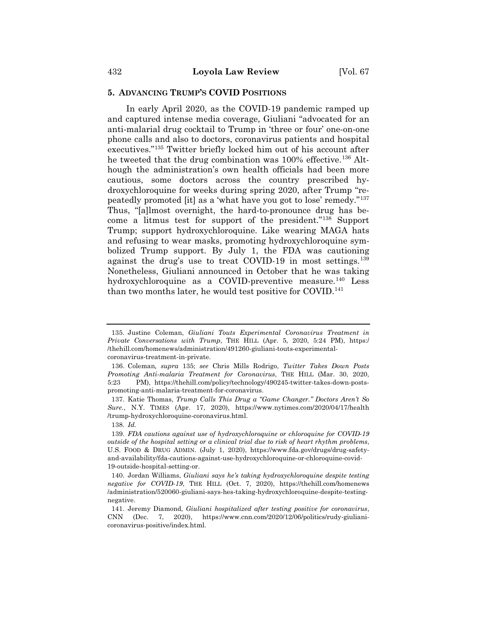#### **5. ADVANCING TRUMP'S COVID POSITIONS**

In early April 2020, as the COVID-19 pandemic ramped up and captured intense media coverage, Giuliani "advocated for an anti-malarial drug cocktail to Trump in 'three or four' one-on-one phone calls and also to doctors, coronavirus patients and hospital executives."135 Twitter briefly locked him out of his account after he tweeted that the drug combination was 100% effective.<sup>136</sup> Although the administration's own health officials had been more cautious, some doctors across the country prescribed hydroxychloroquine for weeks during spring 2020, after Trump "repeatedly promoted [it] as a 'what have you got to lose' remedy."137 Thus, "[a]lmost overnight, the hard-to-pronounce drug has become a litmus test for support of the president."138 Support Trump; support hydroxychloroquine. Like wearing MAGA hats and refusing to wear masks, promoting hydroxychloroquine symbolized Trump support. By July 1, the FDA was cautioning against the drug's use to treat COVID-19 in most settings.<sup>139</sup> Nonetheless, Giuliani announced in October that he was taking hydroxychloroquine as a COVID-preventive measure.<sup>140</sup> Less than two months later, he would test positive for COVID.<sup>141</sup>

<sup>135.</sup> Justine Coleman, *Giuliani Touts Experimental Coronavirus Treatment in Private Conversations with Trump*, THE HILL (Apr. 5, 2020, 5:24 PM), https:/ /thehill.com/homenews/administration/491260-giuliani-touts-experimentalcoronavirus-treatment-in-private.

<sup>136.</sup> Coleman*, supra* 135; *see* Chris Mills Rodrigo, *Twitter Takes Down Posts Promoting Anti-malaria Treatment for Coronavirus*, THE HILL (Mar. 30, 2020, 5:23 PM), https://thehill.com/policy/technology/490245-twitter-takes-down-postspromoting-anti-malaria-treatment-for-coronavirus.

<sup>137.</sup> Katie Thomas, *Trump Calls This Drug a "Game Changer." Doctors Aren't So Sure.*, N.Y. TIMES (Apr. 17, 2020), https://www.nytimes.com/2020/04/17/health /trump-hydroxychloroquine-coronavirus.html.

<sup>138.</sup> *Id.*

<sup>139.</sup> *FDA cautions against use of hydroxychloroquine or chloroquine for COVID-19 outside of the hospital setting or a clinical trial due to risk of heart rhythm problems*, U.S. FOOD & DRUG ADMIN. (July 1, 2020), https://www.fda.gov/drugs/drug-safetyand-availability/fda-cautions-against-use-hydroxychloroquine-or-chloroquine-covid-19-outside-hospital-setting-or.

<sup>140.</sup> Jordan Williams, *Giuliani says he's taking hydroxychloroquine despite testing negative for COVID-19*, THE HILL (Oct. 7, 2020), https://thehill.com/homenews /administration/520060-giuliani-says-hes-taking-hydroxychloroquine-despite-testingnegative.

<sup>141.</sup> Jeremy Diamond, *Giuliani hospitalized after testing positive for coronavirus*, CNN (Dec. 7, 2020), https://www.cnn.com/2020/12/06/politics/rudy-giulianicoronavirus-positive/index.html.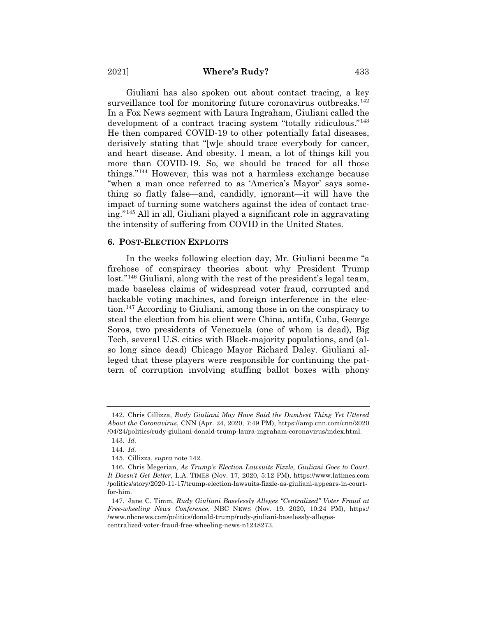#### 2021] **Where's Rudy?** 433

Giuliani has also spoken out about contact tracing, a key surveillance tool for monitoring future coronavirus outbreaks.<sup>142</sup> In a Fox News segment with Laura Ingraham, Giuliani called the development of a contract tracing system "totally ridiculous."143 He then compared COVID-19 to other potentially fatal diseases, derisively stating that "[w]e should trace everybody for cancer, and heart disease. And obesity. I mean, a lot of things kill you more than COVID-19. So, we should be traced for all those things."144 However, this was not a harmless exchange because "when a man once referred to as 'America's Mayor' says something so flatly false—and, candidly, ignorant—it will have the impact of turning some watchers against the idea of contact tracing."145 All in all, Giuliani played a significant role in aggravating the intensity of suffering from COVID in the United States.

#### **6. POST-ELECTION EXPLOITS**

In the weeks following election day, Mr. Giuliani became "a firehose of conspiracy theories about why President Trump lost."146 Giuliani, along with the rest of the president's legal team, made baseless claims of widespread voter fraud, corrupted and hackable voting machines, and foreign interference in the election.147 According to Giuliani, among those in on the conspiracy to steal the election from his client were China, antifa, Cuba, George Soros, two presidents of Venezuela (one of whom is dead), Big Tech, several U.S. cities with Black-majority populations, and (also long since dead) Chicago Mayor Richard Daley. Giuliani alleged that these players were responsible for continuing the pattern of corruption involving stuffing ballot boxes with phony

<sup>142.</sup> Chris Cillizza, *Rudy Giuliani May Have Said the Dumbest Thing Yet Uttered About the Coronavirus*, CNN (Apr. 24, 2020, 7:49 PM), https://amp.cnn.com/cnn/2020 /04/24/politics/rudy-giuliani-donald-trump-laura-ingraham-coronavirus/index.html.

<sup>143.</sup> *Id.*

<sup>144.</sup> *Id.*

<sup>145.</sup> Cillizza, *supra* note 142.

<sup>146.</sup> Chris Megerian, *As Trump's Election Lawsuits Fizzle, Giuliani Goes to Court. It Doesn't Get Better*, L.A. TIMES (Nov. 17, 2020, 5:12 PM), https://www.latimes.com /politics/story/2020-11-17/trump-election-lawsuits-fizzle-as-giuliani-appears-in-courtfor-him.

<sup>147.</sup> Jane C. Timm, *Rudy Giuliani Baselessly Alleges "Centralized" Voter Fraud at Free-wheeling News Conference*, NBC NEWS (Nov. 19, 2020, 10:24 PM), https:/ /www.nbcnews.com/politics/donald-trump/rudy-giuliani-baselessly-allegescentralized-voter-fraud-free-wheeling-news-n1248273.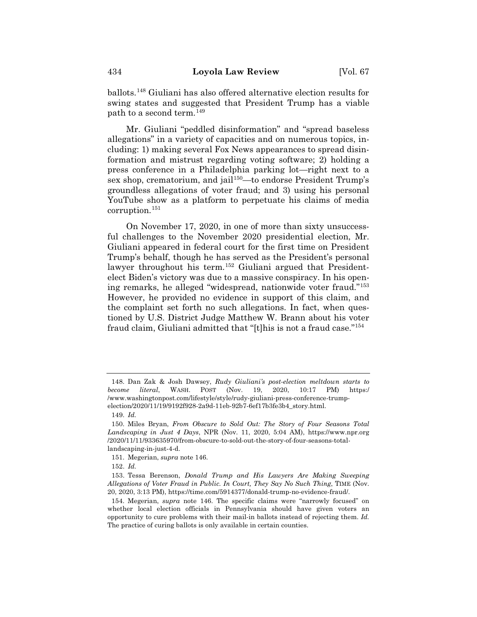ballots.148 Giuliani has also offered alternative election results for swing states and suggested that President Trump has a viable path to a second term.149

Mr. Giuliani "peddled disinformation" and "spread baseless allegations" in a variety of capacities and on numerous topics, including: 1) making several Fox News appearances to spread disinformation and mistrust regarding voting software; 2) holding a press conference in a Philadelphia parking lot—right next to a sex shop, crematorium, and jail<sup>150</sup>—to endorse President Trump's groundless allegations of voter fraud; and 3) using his personal YouTube show as a platform to perpetuate his claims of media corruption.151

On November 17, 2020, in one of more than sixty unsuccessful challenges to the November 2020 presidential election, Mr. Giuliani appeared in federal court for the first time on President Trump's behalf, though he has served as the President's personal lawyer throughout his term.<sup>152</sup> Giuliani argued that Presidentelect Biden's victory was due to a massive conspiracy. In his opening remarks, he alleged "widespread, nationwide voter fraud."153 However, he provided no evidence in support of this claim, and the complaint set forth no such allegations. In fact, when questioned by U.S. District Judge Matthew W. Brann about his voter fraud claim, Giuliani admitted that "[t]his is not a fraud case."154

<sup>148.</sup> Dan Zak & Josh Dawsey, *Rudy Giuliani's post-election meltdown starts to become literal*, WASH. POST (Nov. 19, 2020, 10:17 PM) https:/ /www.washingtonpost.com/lifestyle/style/rudy-giuliani-press-conference-trumpelection/2020/11/19/9192f928-2a9d-11eb-92b7-6ef17b3fe3b4\_story.html. 149. *Id.*

<sup>150.</sup> Miles Bryan, *From Obscure to Sold Out: The Story of Four Seasons Total Landscaping in Just 4 Days*, NPR (Nov. 11, 2020, 5:04 AM), https://www.npr.org /2020/11/11/933635970/from-obscure-to-sold-out-the-story-of-four-seasons-totallandscaping-in-just-4-d.

<sup>151.</sup> Megerian, *supra* note 146.

<sup>152.</sup> *Id.*

<sup>153.</sup> Tessa Berenson, *Donald Trump and His Lawyers Are Making Sweeping Allegations of Voter Fraud in Public. In Court, They Say No Such Thing*, TIME (Nov. 20, 2020, 3:13 PM), https://time.com/5914377/donald-trump-no-evidence-fraud/.

<sup>154.</sup> Megerian, *supra* note 146. The specific claims were "narrowly focused" on whether local election officials in Pennsylvania should have given voters an opportunity to cure problems with their mail-in ballots instead of rejecting them. *Id.* The practice of curing ballots is only available in certain counties.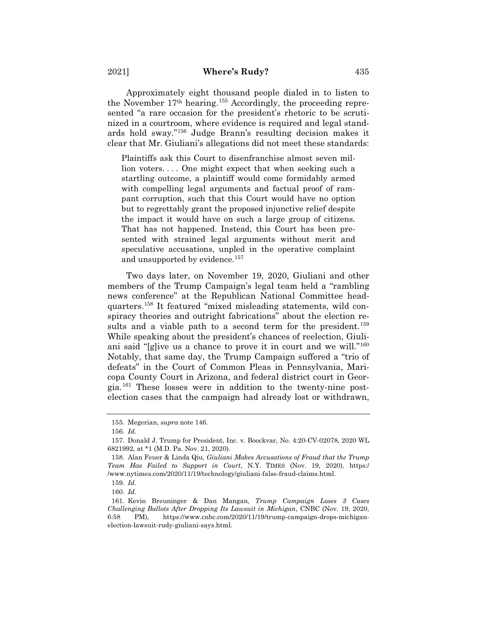2021] **Where's Rudy?** 435

Approximately eight thousand people dialed in to listen to the November 17<sup>th</sup> hearing.<sup>155</sup> Accordingly, the proceeding represented "a rare occasion for the president's rhetoric to be scrutinized in a courtroom, where evidence is required and legal standards hold sway."156 Judge Brann's resulting decision makes it clear that Mr. Giuliani's allegations did not meet these standards:

Plaintiffs ask this Court to disenfranchise almost seven million voters. . . . One might expect that when seeking such a startling outcome, a plaintiff would come formidably armed with compelling legal arguments and factual proof of rampant corruption, such that this Court would have no option but to regrettably grant the proposed injunctive relief despite the impact it would have on such a large group of citizens. That has not happened. Instead, this Court has been presented with strained legal arguments without merit and speculative accusations, unpled in the operative complaint and unsupported by evidence.<sup>157</sup>

Two days later, on November 19, 2020, Giuliani and other members of the Trump Campaign's legal team held a "rambling news conference" at the Republican National Committee headquarters.158 It featured "mixed misleading statements, wild conspiracy theories and outright fabrications" about the election results and a viable path to a second term for the president.<sup>159</sup> While speaking about the president's chances of reelection, Giuliani said "[g]ive us a chance to prove it in court and we will."160 Notably, that same day, the Trump Campaign suffered a "trio of defeats" in the Court of Common Pleas in Pennsylvania, Maricopa County Court in Arizona, and federal district court in Georgia.161 These losses were in addition to the twenty-nine postelection cases that the campaign had already lost or withdrawn,

<sup>155.</sup> Megerian, *supra* note 146.

<sup>156.</sup> *Id.*

<sup>157.</sup> Donald J. Trump for President, Inc. v. Boockvar, No. 4:20-CV-02078, 2020 WL 6821992, at \*1 (M.D. Pa. Nov. 21, 2020).

<sup>158.</sup> Alan Feuer & Linda Qiu, *Giuliani Makes Accusations of Fraud that the Trump Team Has Failed to Support in Court*, N.Y. TIMES (Nov. 19, 2020), https:/ /www.nytimes.com/2020/11/19/technology/giuliani-false-fraud-claims.html.

<sup>159.</sup> *Id.*

<sup>160.</sup> *Id.*

<sup>161.</sup> Kevin Breuninger & Dan Mangan, *Trump Campaign Loses 3 Cases Challenging Ballots After Dropping Its Lawsuit in Michigan*, CNBC (Nov. 19, 2020, 6:58 PM), https://www.cnbc.com/2020/11/19/trump-campaign-drops-michiganelection-lawsuit-rudy-giuliani-says.html.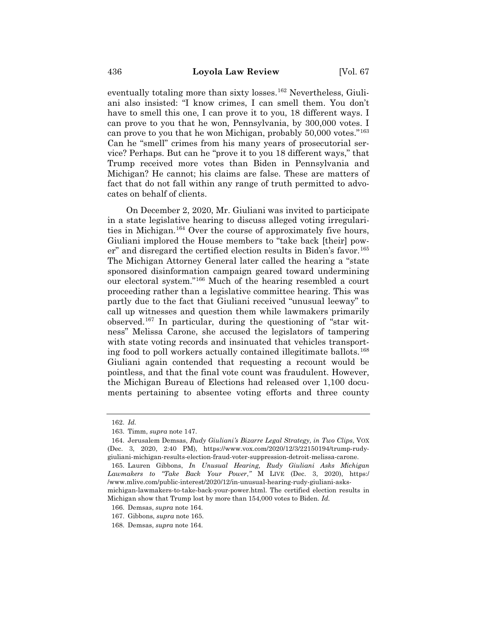eventually totaling more than sixty losses.<sup>162</sup> Nevertheless, Giuliani also insisted: "I know crimes, I can smell them. You don't have to smell this one, I can prove it to you, 18 different ways. I can prove to you that he won, Pennsylvania, by 300,000 votes. I can prove to you that he won Michigan, probably 50,000 votes."163 Can he "smell" crimes from his many years of prosecutorial service? Perhaps. But can he "prove it to you 18 different ways," that Trump received more votes than Biden in Pennsylvania and Michigan? He cannot; his claims are false. These are matters of fact that do not fall within any range of truth permitted to advocates on behalf of clients.

On December 2, 2020, Mr. Giuliani was invited to participate in a state legislative hearing to discuss alleged voting irregularities in Michigan.164 Over the course of approximately five hours, Giuliani implored the House members to "take back [their] power" and disregard the certified election results in Biden's favor.165 The Michigan Attorney General later called the hearing a "state sponsored disinformation campaign geared toward undermining our electoral system."166 Much of the hearing resembled a court proceeding rather than a legislative committee hearing. This was partly due to the fact that Giuliani received "unusual leeway" to call up witnesses and question them while lawmakers primarily observed.167 In particular, during the questioning of "star witness" Melissa Carone, she accused the legislators of tampering with state voting records and insinuated that vehicles transporting food to poll workers actually contained illegitimate ballots.168 Giuliani again contended that requesting a recount would be pointless, and that the final vote count was fraudulent. However, the Michigan Bureau of Elections had released over 1,100 documents pertaining to absentee voting efforts and three county

<sup>162.</sup> *Id.*

<sup>163.</sup> Timm, *supra* note 147.

<sup>164.</sup> Jerusalem Demsas, *Rudy Giuliani's Bizarre Legal Strategy, in Two Clips*, VOX (Dec. 3, 2020, 2:40 PM), https://www.vox.com/2020/12/3/22150194/trump-rudygiuliani-michigan-results-election-fraud-voter-suppression-detroit-melissa-carone.

<sup>165.</sup> Lauren Gibbons, *In Unusual Hearing, Rudy Giuliani Asks Michigan Lawmakers to "Take Back Your Power*,*"* M LIVE (Dec. 3, 2020), https:/ /www.mlive.com/public-interest/2020/12/in-unusual-hearing-rudy-giuliani-asksmichigan-lawmakers-to-take-back-your-power.html. The certified election results in Michigan show that Trump lost by more than 154,000 votes to Biden. *Id.*

<sup>166.</sup> Demsas, *supra* note 164.

<sup>167.</sup> Gibbons, *supra* note 165.

<sup>168.</sup> Demsas, *supra* note 164.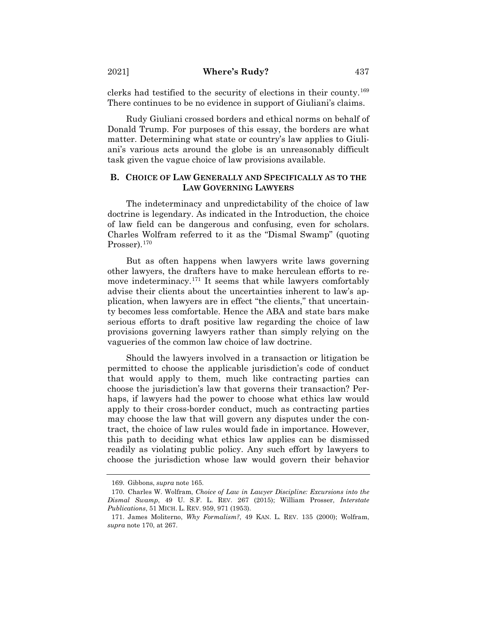clerks had testified to the security of elections in their county.169 There continues to be no evidence in support of Giuliani's claims.

Rudy Giuliani crossed borders and ethical norms on behalf of Donald Trump. For purposes of this essay, the borders are what matter. Determining what state or country's law applies to Giuliani's various acts around the globe is an unreasonably difficult task given the vague choice of law provisions available.

# **B. CHOICE OF LAW GENERALLY AND SPECIFICALLY AS TO THE LAW GOVERNING LAWYERS**

The indeterminacy and unpredictability of the choice of law doctrine is legendary. As indicated in the Introduction, the choice of law field can be dangerous and confusing, even for scholars. Charles Wolfram referred to it as the "Dismal Swamp" (quoting Prosser).<sup>170</sup>

But as often happens when lawyers write laws governing other lawyers, the drafters have to make herculean efforts to remove indeterminacy.<sup>171</sup> It seems that while lawyers comfortably advise their clients about the uncertainties inherent to law's application, when lawyers are in effect "the clients," that uncertainty becomes less comfortable. Hence the ABA and state bars make serious efforts to draft positive law regarding the choice of law provisions governing lawyers rather than simply relying on the vagueries of the common law choice of law doctrine.

Should the lawyers involved in a transaction or litigation be permitted to choose the applicable jurisdiction's code of conduct that would apply to them, much like contracting parties can choose the jurisdiction's law that governs their transaction? Perhaps, if lawyers had the power to choose what ethics law would apply to their cross-border conduct, much as contracting parties may choose the law that will govern any disputes under the contract, the choice of law rules would fade in importance. However, this path to deciding what ethics law applies can be dismissed readily as violating public policy. Any such effort by lawyers to choose the jurisdiction whose law would govern their behavior

<sup>169.</sup> Gibbons, *supra* note 165.

<sup>170.</sup> Charles W. Wolfram, *Choice of Law in Lawyer Discipline: Excursions into the Dismal Swamp*, 49 U. S.F. L. REV. 267 (2015); William Prosser, *Interstate Publications*, 51 MICH. L. REV. 959, 971 (1953).

<sup>171.</sup> James Moliterno, *Why Formalism?*, 49 KAN. L. REV. 135 (2000); Wolfram, *supra* note 170, at 267.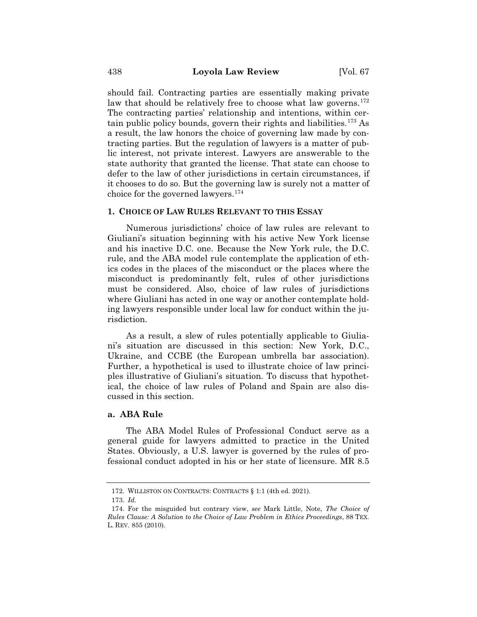should fail. Contracting parties are essentially making private law that should be relatively free to choose what law governs.<sup>172</sup> The contracting parties' relationship and intentions, within certain public policy bounds, govern their rights and liabilities.<sup>173</sup> As a result, the law honors the choice of governing law made by contracting parties. But the regulation of lawyers is a matter of public interest, not private interest. Lawyers are answerable to the state authority that granted the license. That state can choose to defer to the law of other jurisdictions in certain circumstances, if it chooses to do so. But the governing law is surely not a matter of choice for the governed lawyers.174

### **1. CHOICE OF LAW RULES RELEVANT TO THIS ESSAY**

Numerous jurisdictions' choice of law rules are relevant to Giuliani's situation beginning with his active New York license and his inactive D.C. one. Because the New York rule, the D.C. rule, and the ABA model rule contemplate the application of ethics codes in the places of the misconduct or the places where the misconduct is predominantly felt, rules of other jurisdictions must be considered. Also, choice of law rules of jurisdictions where Giuliani has acted in one way or another contemplate holding lawyers responsible under local law for conduct within the jurisdiction.

As a result, a slew of rules potentially applicable to Giuliani's situation are discussed in this section: New York, D.C., Ukraine, and CCBE (the European umbrella bar association). Further, a hypothetical is used to illustrate choice of law principles illustrative of Giuliani's situation. To discuss that hypothetical, the choice of law rules of Poland and Spain are also discussed in this section.

## **a. ABA Rule**

The ABA Model Rules of Professional Conduct serve as a general guide for lawyers admitted to practice in the United States. Obviously, a U.S. lawyer is governed by the rules of professional conduct adopted in his or her state of licensure. MR 8.5

<sup>172.</sup> WILLISTON ON CONTRACTS: CONTRACTS § 1:1 (4th ed. 2021).

<sup>173.</sup> *Id.*

<sup>174.</sup> For the misguided but contrary view, *see* Mark Little, Note, *The Choice of Rules Clause: A Solution to the Choice of Law Problem in Ethics Proceedings*, 88 TEX. L. REV. 855 (2010).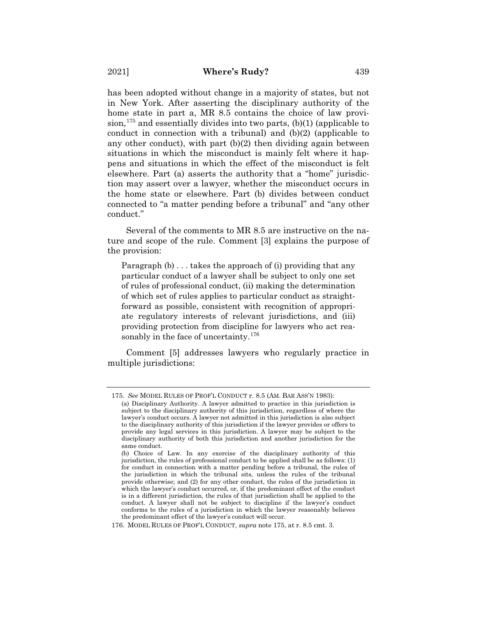has been adopted without change in a majority of states, but not in New York. After asserting the disciplinary authority of the home state in part a, MR 8.5 contains the choice of law provision,<sup>175</sup> and essentially divides into two parts,  $(b)(1)$  (applicable to conduct in connection with a tribunal) and (b)(2) (applicable to any other conduct), with part  $(b)(2)$  then dividing again between situations in which the misconduct is mainly felt where it happens and situations in which the effect of the misconduct is felt elsewhere. Part (a) asserts the authority that a "home" jurisdiction may assert over a lawyer, whether the misconduct occurs in the home state or elsewhere. Part (b) divides between conduct connected to "a matter pending before a tribunal" and "any other conduct."

Several of the comments to MR 8.5 are instructive on the nature and scope of the rule. Comment [3] explains the purpose of the provision:

Paragraph  $(b) \ldots$  takes the approach of (i) providing that any particular conduct of a lawyer shall be subject to only one set of rules of professional conduct, (ii) making the determination of which set of rules applies to particular conduct as straightforward as possible, consistent with recognition of appropriate regulatory interests of relevant jurisdictions, and (iii) providing protection from discipline for lawyers who act reasonably in the face of uncertainty.<sup>176</sup>

Comment [5] addresses lawyers who regularly practice in multiple jurisdictions:

<sup>175.</sup> *See* MODEL RULES OF PROF'L CONDUCT r. 8.5 (AM. BAR ASS'N 1983):

<sup>(</sup>a) Disciplinary Authority. A lawyer admitted to practice in this jurisdiction is subject to the disciplinary authority of this jurisdiction, regardless of where the lawyer's conduct occurs. A lawyer not admitted in this jurisdiction is also subject to the disciplinary authority of this jurisdiction if the lawyer provides or offers to provide any legal services in this jurisdiction. A lawyer may be subject to the disciplinary authority of both this jurisdiction and another jurisdiction for the same conduct.

<sup>(</sup>b) Choice of Law. In any exercise of the disciplinary authority of this jurisdiction, the rules of professional conduct to be applied shall be as follows: (1) for conduct in connection with a matter pending before a tribunal, the rules of the jurisdiction in which the tribunal sits, unless the rules of the tribunal provide otherwise; and (2) for any other conduct, the rules of the jurisdiction in which the lawyer's conduct occurred, or, if the predominant effect of the conduct is in a different jurisdiction, the rules of that jurisdiction shall be applied to the conduct. A lawyer shall not be subject to discipline if the lawyer's conduct conforms to the rules of a jurisdiction in which the lawyer reasonably believes the predominant effect of the lawyer's conduct will occur.

<sup>176.</sup> MODEL RULES OF PROF'L CONDUCT, *supra* note 175, at r. 8.5 cmt. 3.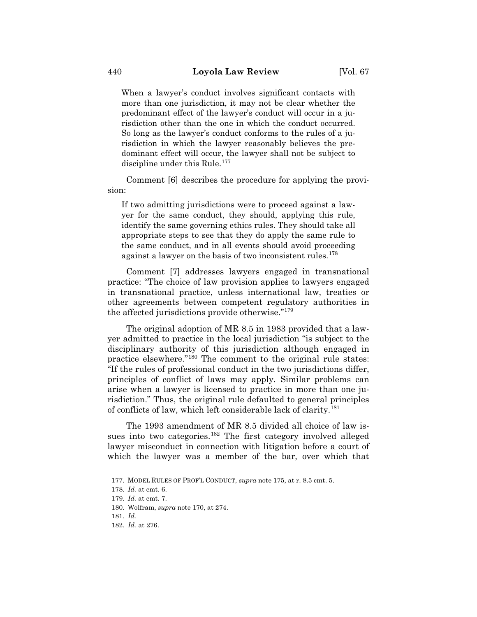When a lawyer's conduct involves significant contacts with more than one jurisdiction, it may not be clear whether the predominant effect of the lawyer's conduct will occur in a jurisdiction other than the one in which the conduct occurred. So long as the lawyer's conduct conforms to the rules of a jurisdiction in which the lawyer reasonably believes the predominant effect will occur, the lawyer shall not be subject to discipline under this Rule.<sup>177</sup>

Comment [6] describes the procedure for applying the provision:

If two admitting jurisdictions were to proceed against a lawyer for the same conduct, they should, applying this rule, identify the same governing ethics rules. They should take all appropriate steps to see that they do apply the same rule to the same conduct, and in all events should avoid proceeding against a lawyer on the basis of two inconsistent rules.<sup>178</sup>

Comment [7] addresses lawyers engaged in transnational practice: "The choice of law provision applies to lawyers engaged in transnational practice, unless international law, treaties or other agreements between competent regulatory authorities in the affected jurisdictions provide otherwise."179

The original adoption of MR 8.5 in 1983 provided that a lawyer admitted to practice in the local jurisdiction "is subject to the disciplinary authority of this jurisdiction although engaged in practice elsewhere."180 The comment to the original rule states: "If the rules of professional conduct in the two jurisdictions differ, principles of conflict of laws may apply. Similar problems can arise when a lawyer is licensed to practice in more than one jurisdiction." Thus, the original rule defaulted to general principles of conflicts of law, which left considerable lack of clarity.181

The 1993 amendment of MR 8.5 divided all choice of law issues into two categories.<sup>182</sup> The first category involved alleged lawyer misconduct in connection with litigation before a court of which the lawyer was a member of the bar, over which that

<sup>177.</sup> MODEL RULES OF PROF'L CONDUCT, *supra* note 175, at r. 8.5 cmt. 5.

<sup>178.</sup> *Id.* at cmt. 6.

<sup>179.</sup> *Id.* at cmt. 7.

<sup>180.</sup> Wolfram, *supra* note 170, at 274.

<sup>181.</sup> *Id.*

<sup>182.</sup> *Id.* at 276.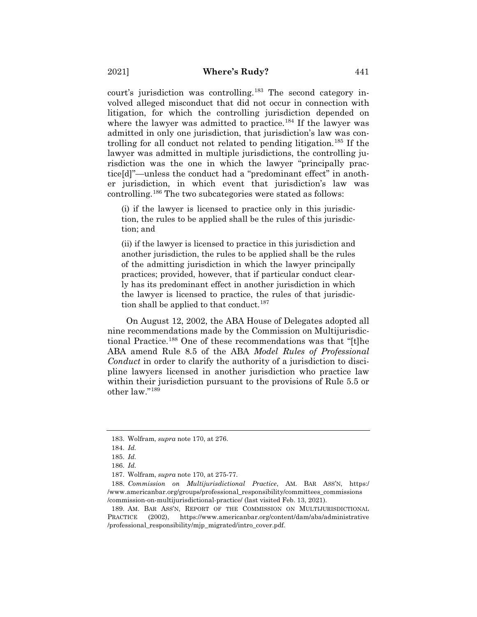court's jurisdiction was controlling.<sup>183</sup> The second category involved alleged misconduct that did not occur in connection with litigation, for which the controlling jurisdiction depended on where the lawyer was admitted to practice.<sup>184</sup> If the lawyer was admitted in only one jurisdiction, that jurisdiction's law was controlling for all conduct not related to pending litigation.185 If the lawyer was admitted in multiple jurisdictions, the controlling jurisdiction was the one in which the lawyer "principally practice[d]"—unless the conduct had a "predominant effect" in another jurisdiction, in which event that jurisdiction's law was controlling.186 The two subcategories were stated as follows:

(i) if the lawyer is licensed to practice only in this jurisdiction, the rules to be applied shall be the rules of this jurisdiction; and

(ii) if the lawyer is licensed to practice in this jurisdiction and another jurisdiction, the rules to be applied shall be the rules of the admitting jurisdiction in which the lawyer principally practices; provided, however, that if particular conduct clearly has its predominant effect in another jurisdiction in which the lawyer is licensed to practice, the rules of that jurisdiction shall be applied to that conduct.<sup>187</sup>

On August 12, 2002, the ABA House of Delegates adopted all nine recommendations made by the Commission on Multijurisdictional Practice.188 One of these recommendations was that "[t]he ABA amend Rule 8.5 of the ABA *Model Rules of Professional Conduct* in order to clarify the authority of a jurisdiction to discipline lawyers licensed in another jurisdiction who practice law within their jurisdiction pursuant to the provisions of Rule 5.5 or other law."189

<sup>183.</sup> Wolfram, *supra* note 170, at 276.

<sup>184.</sup> *Id.*

<sup>185.</sup> *Id.*

<sup>186.</sup> *Id.*

<sup>187.</sup> Wolfram, *supra* note 170, at 275-77.

<sup>188.</sup> *Commission on Multijurisdictional Practice*, AM. BAR ASS'N, https:/ /www.americanbar.org/groups/professional\_responsibility/committees\_commissions /commission-on-multijurisdictional-practice/ (last visited Feb. 13, 2021).

<sup>189.</sup> AM. BAR ASS'N, REPORT OF THE COMMISSION ON MULTIJURISDICTIONAL PRACTICE (2002), https://www.americanbar.org/content/dam/aba/administrative /professional\_responsibility/mjp\_migrated/intro\_cover.pdf.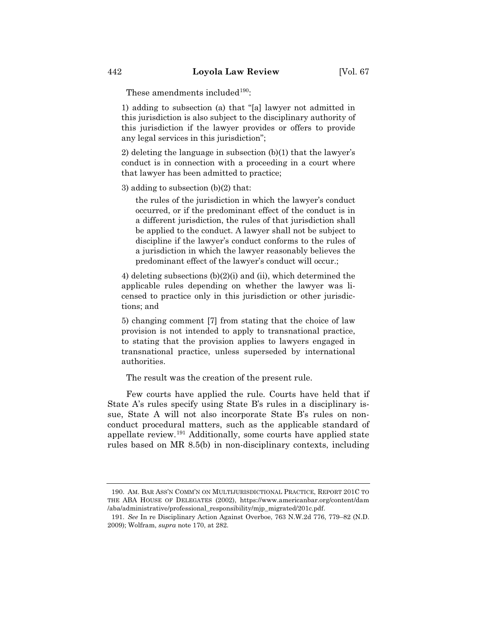These amendments included<sup>190</sup>:

1) adding to subsection (a) that "[a] lawyer not admitted in this jurisdiction is also subject to the disciplinary authority of this jurisdiction if the lawyer provides or offers to provide any legal services in this jurisdiction";

2) deleting the language in subsection (b)(1) that the lawyer's conduct is in connection with a proceeding in a court where that lawyer has been admitted to practice;

3) adding to subsection (b)(2) that:

the rules of the jurisdiction in which the lawyer's conduct occurred, or if the predominant effect of the conduct is in a different jurisdiction, the rules of that jurisdiction shall be applied to the conduct. A lawyer shall not be subject to discipline if the lawyer's conduct conforms to the rules of a jurisdiction in which the lawyer reasonably believes the predominant effect of the lawyer's conduct will occur.;

4) deleting subsections (b)(2)(i) and (ii), which determined the applicable rules depending on whether the lawyer was licensed to practice only in this jurisdiction or other jurisdictions; and

5) changing comment [7] from stating that the choice of law provision is not intended to apply to transnational practice, to stating that the provision applies to lawyers engaged in transnational practice, unless superseded by international authorities.

The result was the creation of the present rule.

Few courts have applied the rule. Courts have held that if State A's rules specify using State B's rules in a disciplinary issue, State A will not also incorporate State B's rules on nonconduct procedural matters, such as the applicable standard of appellate review.191 Additionally, some courts have applied state rules based on MR 8.5(b) in non-disciplinary contexts, including

<sup>190.</sup> AM. BAR ASS'N COMM'N ON MULTIJURISDICTIONAL PRACTICE, REPORT 201C TO THE ABA HOUSE OF DELEGATES (2002), https://www.americanbar.org/content/dam /aba/administrative/professional\_responsibility/mjp\_migrated/201c.pdf.

<sup>191.</sup> *See* In re Disciplinary Action Against Overboe, 763 N.W.2d 776, 779–82 (N.D. 2009); Wolfram, *supra* note 170, at 282.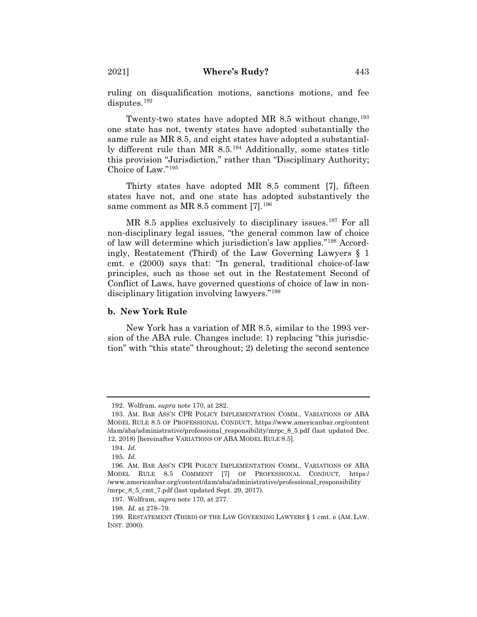ruling on disqualification motions, sanctions motions, and fee disputes.192

Twenty-two states have adopted MR 8.5 without change,  $193$ one state has not, twenty states have adopted substantially the same rule as MR 8.5, and eight states have adopted a substantially different rule than MR 8.5.194 Additionally, some states title this provision "Jurisdiction," rather than "Disciplinary Authority; Choice of Law."195

Thirty states have adopted MR 8.5 comment [7], fifteen states have not, and one state has adopted substantively the same comment as MR 8.5 comment [7].<sup>196</sup>

MR 8.5 applies exclusively to disciplinary issues.<sup>197</sup> For all non-disciplinary legal issues, "the general common law of choice of law will determine which jurisdiction's law applies."198 Accordingly, Restatement (Third) of the Law Governing Lawyers § 1 cmt. e (2000) says that: "In general, traditional choice-of-law principles, such as those set out in the Restatement Second of Conflict of Laws, have governed questions of choice of law in nondisciplinary litigation involving lawyers."199

## **b. New York Rule**

New York has a variation of MR 8.5, similar to the 1993 version of the ABA rule. Changes include: 1) replacing "this jurisdiction" with "this state" throughout; 2) deleting the second sentence

<sup>192.</sup> Wolfram, *supra* note 170, at 282.

<sup>193.</sup> AM. BAR ASS'N CPR POLICY IMPLEMENTATION COMM., VARIATIONS OF ABA MODEL RULE 8.5 OF PROFESSIONAL CONDUCT, https://www.americanbar.org/content /dam/aba/administrative/professional\_responsibility/mrpc\_8\_5.pdf (last updated Dec. 12, 2018) [hereinafter VARIATIONS OF ABA MODEL RULE 8.5].

<sup>194.</sup> *Id.*

<sup>195.</sup> *Id.*

<sup>196.</sup> AM. BAR ASS'N CPR POLICY IMPLEMENTATION COMM., VARIATIONS OF ABA MODEL RULE 8.5 COMMENT [7] OF PROFESSIONAL CONDUCT, https:/ /www.americanbar.org/content/dam/aba/administrative/professional\_responsibility /mrpc\_8\_5\_cmt\_7.pdf (last updated Sept. 29, 2017).

<sup>197.</sup> Wolfram, *supra* note 170, at 277.

<sup>198.</sup> *Id.* at 278–79.

<sup>199.</sup> RESTATEMENT (THIRD) OF THE LAW GOVERNING LAWYERS § 1 cmt. e (AM. LAW. INST. 2000).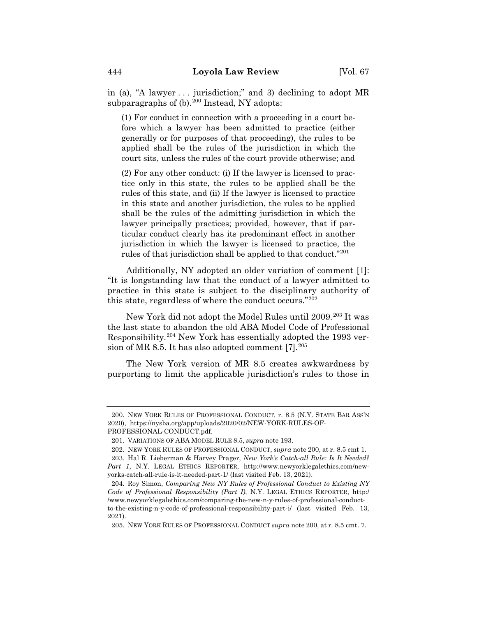in (a), "A lawyer . . . jurisdiction;" and 3) declining to adopt MR subparagraphs of  $(b)$ .<sup>200</sup> Instead, NY adopts:

(1) For conduct in connection with a proceeding in a court before which a lawyer has been admitted to practice (either generally or for purposes of that proceeding), the rules to be applied shall be the rules of the jurisdiction in which the court sits, unless the rules of the court provide otherwise; and

(2) For any other conduct: (i) If the lawyer is licensed to practice only in this state, the rules to be applied shall be the rules of this state, and (ii) If the lawyer is licensed to practice in this state and another jurisdiction, the rules to be applied shall be the rules of the admitting jurisdiction in which the lawyer principally practices; provided, however, that if particular conduct clearly has its predominant effect in another jurisdiction in which the lawyer is licensed to practice, the rules of that jurisdiction shall be applied to that conduct."<sup>201</sup>

Additionally, NY adopted an older variation of comment [1]: "It is longstanding law that the conduct of a lawyer admitted to practice in this state is subject to the disciplinary authority of this state, regardless of where the conduct occurs."202

New York did not adopt the Model Rules until 2009.<sup>203</sup> It was the last state to abandon the old ABA Model Code of Professional Responsibility.204 New York has essentially adopted the 1993 version of MR 8.5. It has also adopted comment  $[7]$ <sup>205</sup>

The New York version of MR 8.5 creates awkwardness by purporting to limit the applicable jurisdiction's rules to those in

<sup>200.</sup> NEW YORK RULES OF PROFESSIONAL CONDUCT, r. 8.5 (N.Y. STATE BAR ASS'N 2020), https://nysba.org/app/uploads/2020/02/NEW-YORK-RULES-OF-PROFESSIONAL-CONDUCT.pdf.

<sup>201.</sup> VARIATIONS OF ABA MODEL RULE 8.5, *supra* note 193.

<sup>202.</sup> NEW YORK RULES OF PROFESSIONAL CONDUCT, *supra* note 200, at r. 8.5 cmt 1.

<sup>203.</sup> Hal R. Lieberman & Harvey Prager, *New York's Catch-all Rule: Is It Needed? Part 1*, N.Y. LEGAL ETHICS REPORTER, http://www.newyorklegalethics.com/newyorks-catch-all-rule-is-it-needed-part-1/ (last visited Feb. 13, 2021).

<sup>204.</sup> Roy Simon, *Comparing New NY Rules of Professional Conduct to Existing NY Code of Professional Responsibility (Part I)*, N.Y. LEGAL ETHICS REPORTER, http:/ /www.newyorklegalethics.com/comparing-the-new-n-y-rules-of-professional-conductto-the-existing-n-y-code-of-professional-responsibility-part-i/ (last visited Feb. 13, 2021).

<sup>205.</sup> NEW YORK RULES OF PROFESSIONAL CONDUCT *supra* note 200, at r. 8.5 cmt. 7.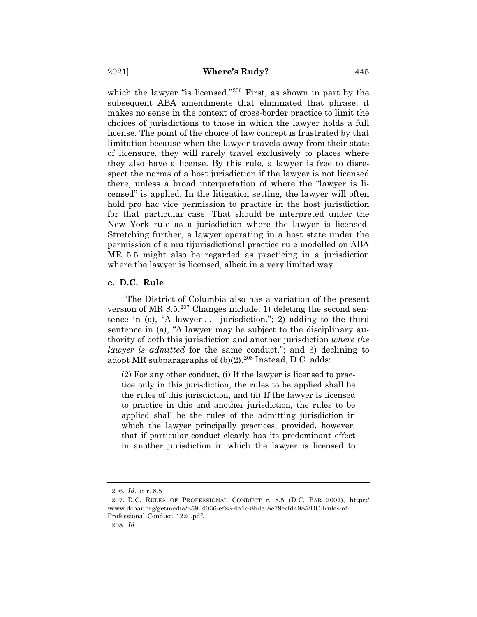which the lawyer "is licensed."<sup>206</sup> First, as shown in part by the subsequent ABA amendments that eliminated that phrase, it makes no sense in the context of cross-border practice to limit the choices of jurisdictions to those in which the lawyer holds a full license. The point of the choice of law concept is frustrated by that limitation because when the lawyer travels away from their state of licensure, they will rarely travel exclusively to places where they also have a license. By this rule, a lawyer is free to disrespect the norms of a host jurisdiction if the lawyer is not licensed there, unless a broad interpretation of where the "lawyer is licensed" is applied. In the litigation setting, the lawyer will often hold pro hac vice permission to practice in the host jurisdiction for that particular case. That should be interpreted under the New York rule as a jurisdiction where the lawyer is licensed. Stretching further, a lawyer operating in a host state under the permission of a multijurisdictional practice rule modelled on ABA MR 5.5 might also be regarded as practicing in a jurisdiction where the lawyer is licensed, albeit in a very limited way.

# **c. D.C. Rule**

The District of Columbia also has a variation of the present version of MR 8.5.207 Changes include: 1) deleting the second sentence in (a), "A lawyer  $\dots$  jurisdiction."; 2) adding to the third sentence in (a), "A lawyer may be subject to the disciplinary authority of both this jurisdiction and another jurisdiction *where the lawyer is admitted* for the same conduct."; and 3) declining to adopt MR subparagraphs of  $(b)(2)$ .<sup>208</sup> Instead, D.C. adds:

(2) For any other conduct, (i) If the lawyer is licensed to practice only in this jurisdiction, the rules to be applied shall be the rules of this jurisdiction, and (ii) If the lawyer is licensed to practice in this and another jurisdiction, the rules to be applied shall be the rules of the admitting jurisdiction in which the lawyer principally practices; provided, however, that if particular conduct clearly has its predominant effect in another jurisdiction in which the lawyer is licensed to

<sup>206.</sup> *Id*. at r. 8.5

<sup>207.</sup> D.C. RULES OF PROFESSIONAL CONDUCT r. 8.5 (D.C. BAR 2007), https:/ /www.dcbar.org/getmedia/85934036-ef28-4a1c-8bda-8e79ecfd4985/DC-Rules-of-Professional-Conduct\_1220.pdf.

<sup>208.</sup> *Id.*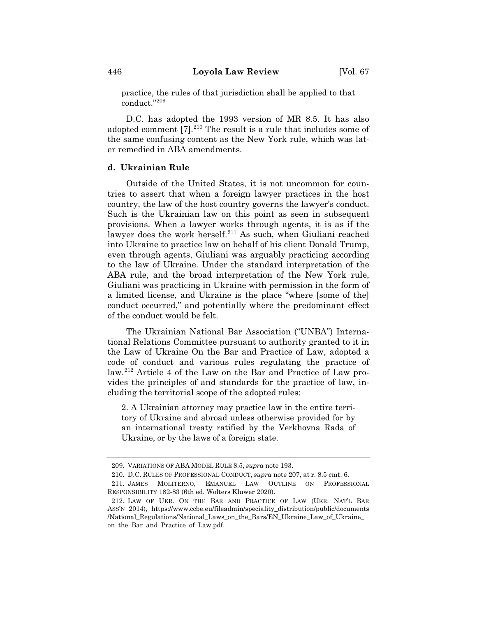practice, the rules of that jurisdiction shall be applied to that conduct."<sup>209</sup>

D.C. has adopted the 1993 version of MR 8.5. It has also adopted comment  $[7]$ .<sup>210</sup> The result is a rule that includes some of the same confusing content as the New York rule, which was later remedied in ABA amendments.

# **d. Ukrainian Rule**

Outside of the United States, it is not uncommon for countries to assert that when a foreign lawyer practices in the host country, the law of the host country governs the lawyer's conduct. Such is the Ukrainian law on this point as seen in subsequent provisions. When a lawyer works through agents, it is as if the lawyer does the work herself.<sup>211</sup> As such, when Giuliani reached into Ukraine to practice law on behalf of his client Donald Trump, even through agents, Giuliani was arguably practicing according to the law of Ukraine. Under the standard interpretation of the ABA rule, and the broad interpretation of the New York rule, Giuliani was practicing in Ukraine with permission in the form of a limited license, and Ukraine is the place "where [some of the] conduct occurred," and potentially where the predominant effect of the conduct would be felt.

The Ukrainian National Bar Association ("UNBA") International Relations Committee pursuant to authority granted to it in the Law of Ukraine On the Bar and Practice of Law, adopted a code of conduct and various rules regulating the practice of law.212 Article 4 of the Law on the Bar and Practice of Law provides the principles of and standards for the practice of law, including the territorial scope of the adopted rules:

2. A Ukrainian attorney may practice law in the entire territory of Ukraine and abroad unless otherwise provided for by an international treaty ratified by the Verkhovna Rada of Ukraine, or by the laws of a foreign state.

<sup>209.</sup> VARIATIONS OF ABA MODEL RULE 8.5, *supra* note 193.

<sup>210.</sup> D.C. RULES OF PROFESSIONAL CONDUCT, *supra* note 207, at r. 8.5 cmt. 6.

<sup>211.</sup> JAMES MOLITERNO, EMANUEL LAW OUTLINE ON PROFESSIONAL RESPONSIBILITY 182-83 (6th ed. Wolters Kluwer 2020).

<sup>212.</sup> LAW OF UKR. ON THE BAR AND PRACTICE OF LAW (UKR. NAT'L BAR ASS'N 2014), https://www.ccbe.eu/fileadmin/speciality\_distribution/public/documents /National\_Regulations/National\_Laws\_on\_the\_Bars/EN\_Ukraine\_Law\_of\_Ukraine\_ on\_the\_Bar\_and\_Practice\_of\_Law.pdf.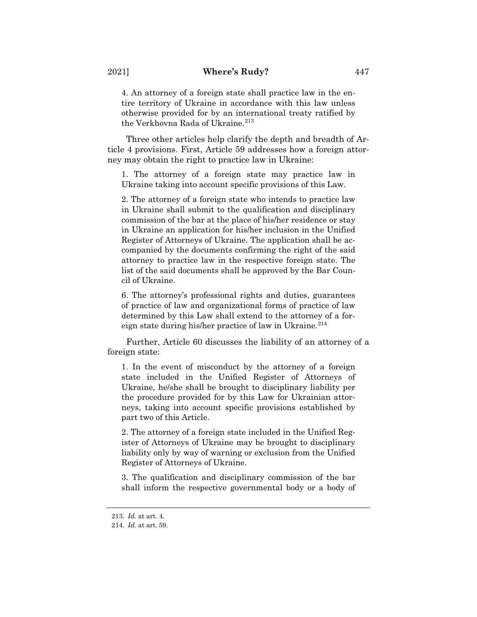4. An attorney of a foreign state shall practice law in the entire territory of Ukraine in accordance with this law unless otherwise provided for by an international treaty ratified by the Verkhovna Rada of Ukraine.<sup>213</sup>

Three other articles help clarify the depth and breadth of Article 4 provisions. First, Article 59 addresses how a foreign attorney may obtain the right to practice law in Ukraine:

1. The attorney of a foreign state may practice law in Ukraine taking into account specific provisions of this Law.

2. The attorney of a foreign state who intends to practice law in Ukraine shall submit to the qualification and disciplinary commission of the bar at the place of his/her residence or stay in Ukraine an application for his/her inclusion in the Unified Register of Attorneys of Ukraine. The application shall be accompanied by the documents confirming the right of the said attorney to practice law in the respective foreign state. The list of the said documents shall be approved by the Bar Council of Ukraine.

6. The attorney's professional rights and duties, guarantees of practice of law and organizational forms of practice of law determined by this Law shall extend to the attorney of a foreign state during his/her practice of law in Ukraine. $2^{14}$ 

Further, Article 60 discusses the liability of an attorney of a foreign state:

1. In the event of misconduct by the attorney of a foreign state included in the Unified Register of Attorneys of Ukraine, he/she shall be brought to disciplinary liability per the procedure provided for by this Law for Ukrainian attorneys, taking into account specific provisions established by part two of this Article.

2. The attorney of a foreign state included in the Unified Register of Attorneys of Ukraine may be brought to disciplinary liability only by way of warning or exclusion from the Unified Register of Attorneys of Ukraine.

3. The qualification and disciplinary commission of the bar shall inform the respective governmental body or a body of

<sup>213.</sup> *Id.* at art. 4.

<sup>214.</sup> *Id.* at art. 59.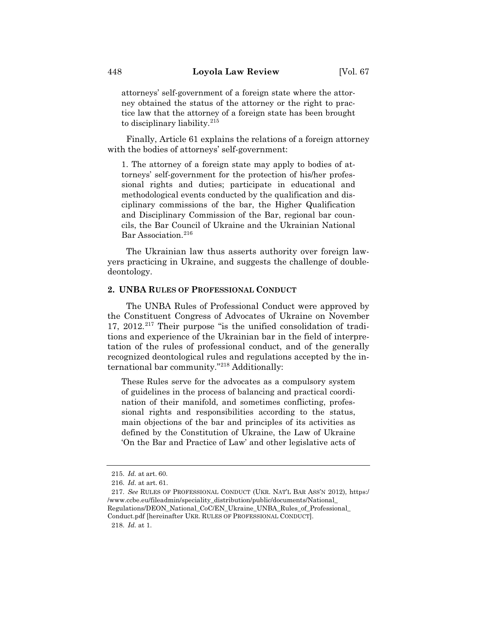attorneys' self-government of a foreign state where the attorney obtained the status of the attorney or the right to practice law that the attorney of a foreign state has been brought to disciplinary liability.<sup>215</sup>

Finally, Article 61 explains the relations of a foreign attorney with the bodies of attorneys' self-government:

1. The attorney of a foreign state may apply to bodies of attorneys' self-government for the protection of his/her professional rights and duties; participate in educational and methodological events conducted by the qualification and disciplinary commissions of the bar, the Higher Qualification and Disciplinary Commission of the Bar, regional bar councils, the Bar Council of Ukraine and the Ukrainian National Bar Association.<sup>216</sup>

The Ukrainian law thus asserts authority over foreign lawyers practicing in Ukraine, and suggests the challenge of doubledeontology.

#### **2. UNBA RULES OF PROFESSIONAL CONDUCT**

The UNBA Rules of Professional Conduct were approved by the Constituent Congress of Advocates of Ukraine on November 17,  $2012.<sup>217</sup>$  Their purpose "is the unified consolidation of traditions and experience of the Ukrainian bar in the field of interpretation of the rules of professional conduct, and of the generally recognized deontological rules and regulations accepted by the international bar community."218 Additionally:

These Rules serve for the advocates as a compulsory system of guidelines in the process of balancing and practical coordination of their manifold, and sometimes conflicting, professional rights and responsibilities according to the status, main objections of the bar and principles of its activities as defined by the Constitution of Ukraine, the Law of Ukraine 'On the Bar and Practice of Law' and other legislative acts of

<sup>215.</sup> *Id.* at art. 60.

<sup>216.</sup> *Id*. at art. 61.

<sup>217.</sup> *See* RULES OF PROFESSIONAL CONDUCT (UKR. NAT'L BAR ASS'N 2012), https:/ /www.ccbe.eu/fileadmin/speciality\_distribution/public/documents/National\_ Regulations/DEON\_National\_CoC/EN\_Ukraine\_UNBA\_Rules\_of\_Professional\_ Conduct.pdf [hereinafter UKR. RULES OF PROFESSIONAL CONDUCT].

<sup>218.</sup> *Id.* at 1.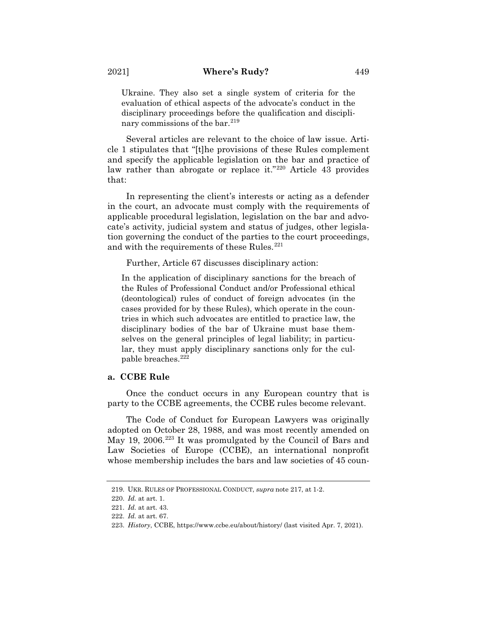Ukraine. They also set a single system of criteria for the evaluation of ethical aspects of the advocate's conduct in the disciplinary proceedings before the qualification and disciplinary commissions of the bar.<sup>219</sup>

Several articles are relevant to the choice of law issue. Article 1 stipulates that "[t]he provisions of these Rules complement and specify the applicable legislation on the bar and practice of law rather than abrogate or replace it."<sup>220</sup> Article 43 provides that:

In representing the client's interests or acting as a defender in the court, an advocate must comply with the requirements of applicable procedural legislation, legislation on the bar and advocate's activity, judicial system and status of judges, other legislation governing the conduct of the parties to the court proceedings, and with the requirements of these Rules.<sup>221</sup>

Further, Article 67 discusses disciplinary action:

In the application of disciplinary sanctions for the breach of the Rules of Professional Conduct and/or Professional ethical (deontological) rules of conduct of foreign advocates (in the cases provided for by these Rules), which operate in the countries in which such advocates are entitled to practice law, the disciplinary bodies of the bar of Ukraine must base themselves on the general principles of legal liability; in particular, they must apply disciplinary sanctions only for the culpable breaches.<sup>222</sup>

# **a. CCBE Rule**

Once the conduct occurs in any European country that is party to the CCBE agreements, the CCBE rules become relevant.

The Code of Conduct for European Lawyers was originally adopted on October 28, 1988, and was most recently amended on May 19, 2006.<sup>223</sup> It was promulgated by the Council of Bars and Law Societies of Europe (CCBE), an international nonprofit whose membership includes the bars and law societies of 45 coun-

<sup>219.</sup> UKR. RULES OF PROFESSIONAL CONDUCT, *supra* note 217, at 1-2.

<sup>220.</sup> *Id.* at art. 1.

<sup>221.</sup> *Id.* at art. 43.

<sup>222.</sup> *Id.* at art. 67.

<sup>223.</sup> *History*, CCBE, https://www.ccbe.eu/about/history/ (last visited Apr. 7, 2021).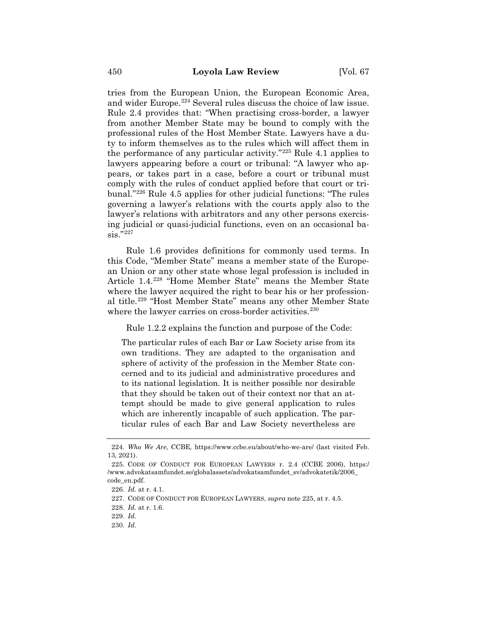tries from the European Union, the European Economic Area, and wider Europe.<sup>224</sup> Several rules discuss the choice of law issue. Rule 2.4 provides that: "When practising cross-border, a lawyer from another Member State may be bound to comply with the professional rules of the Host Member State. Lawyers have a duty to inform themselves as to the rules which will affect them in the performance of any particular activity."225 Rule 4.1 applies to lawyers appearing before a court or tribunal: "A lawyer who appears, or takes part in a case, before a court or tribunal must comply with the rules of conduct applied before that court or tribunal."226 Rule 4.5 applies for other judicial functions: "The rules governing a lawyer's relations with the courts apply also to the lawyer's relations with arbitrators and any other persons exercising judicial or quasi-judicial functions, even on an occasional basis."227

Rule 1.6 provides definitions for commonly used terms. In this Code, "Member State" means a member state of the European Union or any other state whose legal profession is included in Article 1.4.228 "Home Member State" means the Member State where the lawyer acquired the right to bear his or her professional title.229 "Host Member State" means any other Member State where the lawyer carries on cross-border activities.<sup>230</sup>

Rule 1.2.2 explains the function and purpose of the Code:

The particular rules of each Bar or Law Society arise from its own traditions. They are adapted to the organisation and sphere of activity of the profession in the Member State concerned and to its judicial and administrative procedures and to its national legislation. It is neither possible nor desirable that they should be taken out of their context nor that an attempt should be made to give general application to rules which are inherently incapable of such application. The particular rules of each Bar and Law Society nevertheless are

<sup>224.</sup> *Who We Are*, CCBE, https://www.ccbe.eu/about/who-we-are/ (last visited Feb. 13, 2021).

<sup>225.</sup> CODE OF CONDUCT FOR EUROPEAN LAWYERS r. 2.4 (CCBE 2006), https:/ /www.advokatsamfundet.se/globalassets/advokatsamfundet\_sv/advokatetik/2006\_ code\_en.pdf.

<sup>226.</sup> *Id.* at r. 4.1.

<sup>227.</sup> CODE OF CONDUCT FOR EUROPEAN LAWYERS, *supra* note 225, at r. 4.5.

<sup>228.</sup> *Id.* at r. 1.6.

<sup>229.</sup> *Id.*

<sup>230.</sup> *Id.*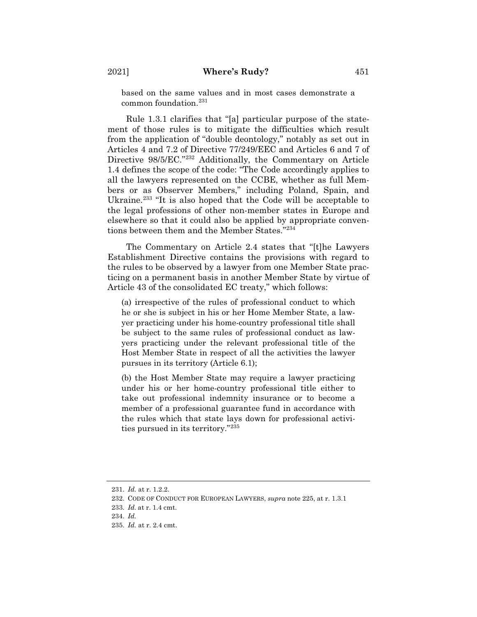based on the same values and in most cases demonstrate a common foundation.<sup>231</sup>

Rule 1.3.1 clarifies that "[a] particular purpose of the statement of those rules is to mitigate the difficulties which result from the application of "double deontology," notably as set out in Articles 4 and 7.2 of Directive 77/249/EEC and Articles 6 and 7 of Directive 98/5/EC."232 Additionally, the Commentary on Article 1.4 defines the scope of the code: "The Code accordingly applies to all the lawyers represented on the CCBE, whether as full Members or as Observer Members," including Poland, Spain, and Ukraine.<sup>233</sup> "It is also hoped that the Code will be acceptable to the legal professions of other non-member states in Europe and elsewhere so that it could also be applied by appropriate conventions between them and the Member States."234

The Commentary on Article 2.4 states that "[t]he Lawyers Establishment Directive contains the provisions with regard to the rules to be observed by a lawyer from one Member State practicing on a permanent basis in another Member State by virtue of Article 43 of the consolidated EC treaty," which follows:

(a) irrespective of the rules of professional conduct to which he or she is subject in his or her Home Member State, a lawyer practicing under his home-country professional title shall be subject to the same rules of professional conduct as lawyers practicing under the relevant professional title of the Host Member State in respect of all the activities the lawyer pursues in its territory (Article 6.1);

(b) the Host Member State may require a lawyer practicing under his or her home-country professional title either to take out professional indemnity insurance or to become a member of a professional guarantee fund in accordance with the rules which that state lays down for professional activities pursued in its territory."<sup>235</sup>

<sup>231.</sup> *Id.* at r. 1.2.2.

<sup>232.</sup> CODE OF CONDUCT FOR EUROPEAN LAWYERS, *supra* note 225, at r. 1.3.1

<sup>233.</sup> *Id.* at r. 1.4 cmt.

<sup>234.</sup> *Id.*

<sup>235.</sup> *Id.* at r. 2.4 cmt.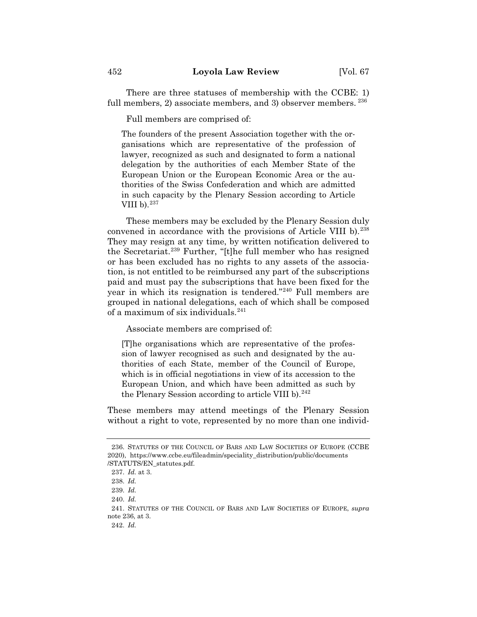There are three statuses of membership with the CCBE: 1) full members, 2) associate members, and 3) observer members. <sup>236</sup>

Full members are comprised of:

The founders of the present Association together with the organisations which are representative of the profession of lawyer, recognized as such and designated to form a national delegation by the authorities of each Member State of the European Union or the European Economic Area or the authorities of the Swiss Confederation and which are admitted in such capacity by the Plenary Session according to Article VIII b). $237$ 

These members may be excluded by the Plenary Session duly convened in accordance with the provisions of Article VIII b).<sup>238</sup> They may resign at any time, by written notification delivered to the Secretariat.239 Further, "[t]he full member who has resigned or has been excluded has no rights to any assets of the association, is not entitled to be reimbursed any part of the subscriptions paid and must pay the subscriptions that have been fixed for the year in which its resignation is tendered."240 Full members are grouped in national delegations, each of which shall be composed of a maximum of six individuals.<sup>241</sup>

Associate members are comprised of:

[T]he organisations which are representative of the profession of lawyer recognised as such and designated by the authorities of each State, member of the Council of Europe, which is in official negotiations in view of its accession to the European Union, and which have been admitted as such by the Plenary Session according to article VIII b).  $242$ 

These members may attend meetings of the Plenary Session without a right to vote, represented by no more than one individ-

<sup>236.</sup> STATUTES OF THE COUNCIL OF BARS AND LAW SOCIETIES OF EUROPE (CCBE 2020), https://www.ccbe.eu/fileadmin/speciality\_distribution/public/documents /STATUTS/EN\_statutes.pdf.

<sup>237.</sup> *Id.* at 3.

<sup>238.</sup> *Id.*

<sup>239.</sup> *Id.*

<sup>240.</sup> *Id.*

<sup>241.</sup> STATUTES OF THE COUNCIL OF BARS AND LAW SOCIETIES OF EUROPE, *supra*  note 236, at 3.

<sup>242.</sup> *Id.*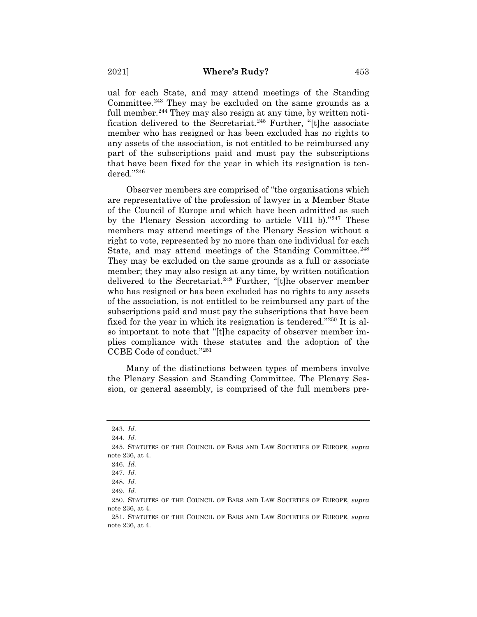ual for each State, and may attend meetings of the Standing Committee. $243$  They may be excluded on the same grounds as a full member.<sup>244</sup> They may also resign at any time, by written notification delivered to the Secretariat.<sup>245</sup> Further, "[t]he associate member who has resigned or has been excluded has no rights to any assets of the association, is not entitled to be reimbursed any part of the subscriptions paid and must pay the subscriptions that have been fixed for the year in which its resignation is tendered."246

Observer members are comprised of "the organisations which are representative of the profession of lawyer in a Member State of the Council of Europe and which have been admitted as such by the Plenary Session according to article VIII b)."247 These members may attend meetings of the Plenary Session without a right to vote, represented by no more than one individual for each State, and may attend meetings of the Standing Committee.<sup>248</sup> They may be excluded on the same grounds as a full or associate member; they may also resign at any time, by written notification delivered to the Secretariat.<sup>249</sup> Further, "[t]he observer member who has resigned or has been excluded has no rights to any assets of the association, is not entitled to be reimbursed any part of the subscriptions paid and must pay the subscriptions that have been fixed for the year in which its resignation is tendered."250 It is also important to note that "[t]he capacity of observer member implies compliance with these statutes and the adoption of the CCBE Code of conduct."251

Many of the distinctions between types of members involve the Plenary Session and Standing Committee. The Plenary Session, or general assembly, is comprised of the full members pre-

244. *Id.*

<sup>243.</sup> *Id.*

<sup>245.</sup> STATUTES OF THE COUNCIL OF BARS AND LAW SOCIETIES OF EUROPE, *supra* note 236, at 4.

<sup>246.</sup> *Id.*

<sup>247.</sup> *Id.*

<sup>248.</sup> *Id.*

<sup>249.</sup> *Id.*

<sup>250.</sup> STATUTES OF THE COUNCIL OF BARS AND LAW SOCIETIES OF EUROPE, *supra* note 236, at 4.

<sup>251.</sup> STATUTES OF THE COUNCIL OF BARS AND LAW SOCIETIES OF EUROPE, *supra* note 236, at 4.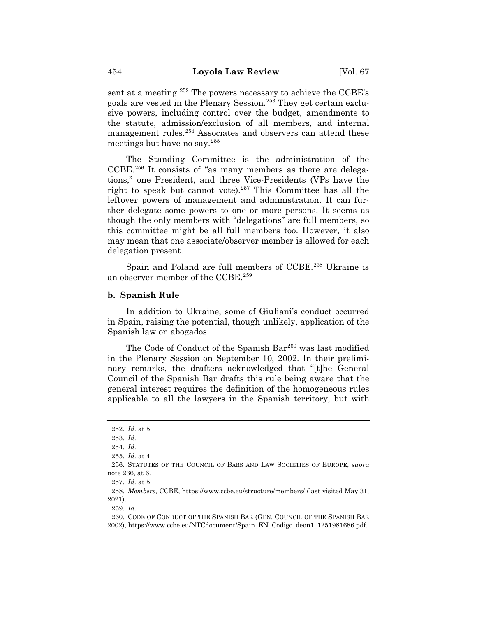sent at a meeting.<sup>252</sup> The powers necessary to achieve the CCBE's goals are vested in the Plenary Session.253 They get certain exclusive powers, including control over the budget, amendments to the statute, admission/exclusion of all members, and internal management rules.<sup>254</sup> Associates and observers can attend these meetings but have no say.255

The Standing Committee is the administration of the  $CCBE.<sup>256</sup>$  It consists of "as many members as there are delegations," one President, and three Vice-Presidents (VPs have the right to speak but cannot vote).<sup>257</sup> This Committee has all the leftover powers of management and administration. It can further delegate some powers to one or more persons. It seems as though the only members with "delegations" are full members, so this committee might be all full members too. However, it also may mean that one associate/observer member is allowed for each delegation present.

Spain and Poland are full members of CCBE.258 Ukraine is an observer member of the CCBE.<sup>259</sup>

# **b. Spanish Rule**

In addition to Ukraine, some of Giuliani's conduct occurred in Spain, raising the potential, though unlikely, application of the Spanish law on abogados.

The Code of Conduct of the Spanish Bar<sup>260</sup> was last modified in the Plenary Session on September 10, 2002. In their preliminary remarks, the drafters acknowledged that "[t]he General Council of the Spanish Bar drafts this rule being aware that the general interest requires the definition of the homogeneous rules applicable to all the lawyers in the Spanish territory, but with

<sup>252.</sup> *Id.* at 5.

<sup>253.</sup> *Id.*

<sup>254.</sup> *Id.*

<sup>255.</sup> *Id.* at 4.

<sup>256.</sup> STATUTES OF THE COUNCIL OF BARS AND LAW SOCIETIES OF EUROPE, *supra* note 236, at 6.

<sup>257.</sup> *Id.* at 5.

<sup>258.</sup> *Members*, CCBE, https://www.ccbe.eu/structure/members/ (last visited May 31, 2021).

<sup>259.</sup> *Id.*

<sup>260.</sup> CODE OF CONDUCT OF THE SPANISH BAR (GEN. COUNCIL OF THE SPANISH BAR 2002), https://www.ccbe.eu/NTCdocument/Spain\_EN\_Codigo\_deon1\_1251981686.pdf.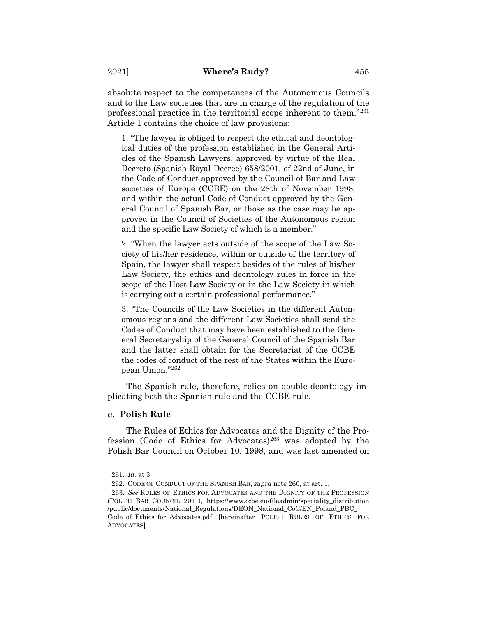absolute respect to the competences of the Autonomous Councils and to the Law societies that are in charge of the regulation of the professional practice in the territorial scope inherent to them."261 Article 1 contains the choice of law provisions:

1. "The lawyer is obliged to respect the ethical and deontological duties of the profession established in the General Articles of the Spanish Lawyers, approved by virtue of the Real Decreto (Spanish Royal Decree) 658/2001, of 22nd of June, in the Code of Conduct approved by the Council of Bar and Law societies of Europe (CCBE) on the 28th of November 1998, and within the actual Code of Conduct approved by the General Council of Spanish Bar, or those as the case may be approved in the Council of Societies of the Autonomous region and the specific Law Society of which is a member."

2. "When the lawyer acts outside of the scope of the Law Society of his/her residence, within or outside of the territory of Spain, the lawyer shall respect besides of the rules of his/her Law Society, the ethics and deontology rules in force in the scope of the Host Law Society or in the Law Society in which is carrying out a certain professional performance."

3. "The Councils of the Law Societies in the different Autonomous regions and the different Law Societies shall send the Codes of Conduct that may have been established to the General Secretaryship of the General Council of the Spanish Bar and the latter shall obtain for the Secretariat of the CCBE the codes of conduct of the rest of the States within the European Union."<sup>262</sup>

The Spanish rule, therefore, relies on double-deontology implicating both the Spanish rule and the CCBE rule.

### **c. Polish Rule**

The Rules of Ethics for Advocates and the Dignity of the Profession (Code of Ethics for Advocates)<sup>263</sup> was adopted by the Polish Bar Council on October 10, 1998, and was last amended on

<sup>261.</sup> *Id.* at 3.

<sup>262.</sup> CODE OF CONDUCT OF THE SPANISH BAR, *supra* note 260, at art. 1.

<sup>263.</sup> *See* RULES OF ETHICS FOR ADVOCATES AND THE DIGNITY OF THE PROFESSION (POLISH BAR COUNCIL 2011), https://www.ccbe.eu/fileadmin/speciality\_distribution /public/documents/National\_Regulations/DEON\_National\_CoC/EN\_Poland\_PBC\_ Code\_of\_Ethics\_for\_Advocates.pdf [hereinafter POLISH RULES OF ETHICS FOR ADVOCATES].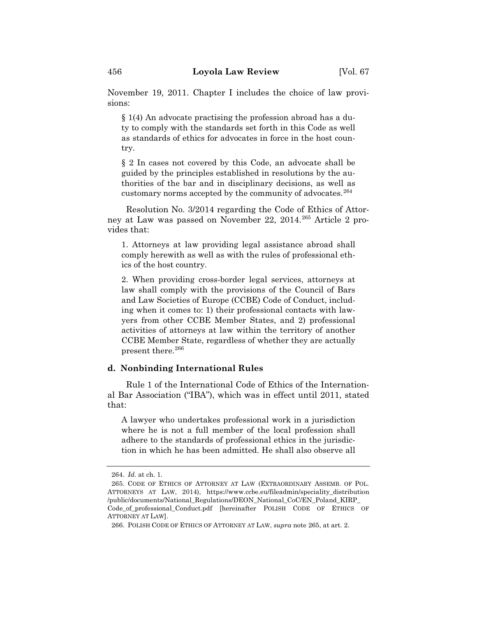November 19, 2011. Chapter I includes the choice of law provisions:

§ 1(4) An advocate practising the profession abroad has a duty to comply with the standards set forth in this Code as well as standards of ethics for advocates in force in the host country.

§ 2 In cases not covered by this Code, an advocate shall be guided by the principles established in resolutions by the authorities of the bar and in disciplinary decisions, as well as customary norms accepted by the community of advocates.<sup>264</sup>

Resolution No. 3/2014 regarding the Code of Ethics of Attorney at Law was passed on November 22, 2014.265 Article 2 provides that:

1. Attorneys at law providing legal assistance abroad shall comply herewith as well as with the rules of professional ethics of the host country.

2. When providing cross-border legal services, attorneys at law shall comply with the provisions of the Council of Bars and Law Societies of Europe (CCBE) Code of Conduct, including when it comes to: 1) their professional contacts with lawyers from other CCBE Member States, and 2) professional activities of attorneys at law within the territory of another CCBE Member State, regardless of whether they are actually present there.<sup>266</sup>

# **d. Nonbinding International Rules**

Rule 1 of the International Code of Ethics of the International Bar Association ("IBA"), which was in effect until 2011, stated that:

A lawyer who undertakes professional work in a jurisdiction where he is not a full member of the local profession shall adhere to the standards of professional ethics in the jurisdiction in which he has been admitted. He shall also observe all

<sup>264.</sup> *Id.* at ch. 1.

<sup>265.</sup> CODE OF ETHICS OF ATTORNEY AT LAW (EXTRAORDINARY ASSEMB. OF POL. ATTORNEYS AT LAW, 2014), https://www.ccbe.eu/fileadmin/speciality\_distribution /public/documents/National\_Regulations/DEON\_National\_CoC/EN\_Poland\_KIRP\_ Code\_of\_professional\_Conduct.pdf [hereinafter POLISH CODE OF ETHICS OF ATTORNEY AT LAW].

<sup>266.</sup> POLISH CODE OF ETHICS OF ATTORNEY AT LAW, *supra* note 265, at art. 2.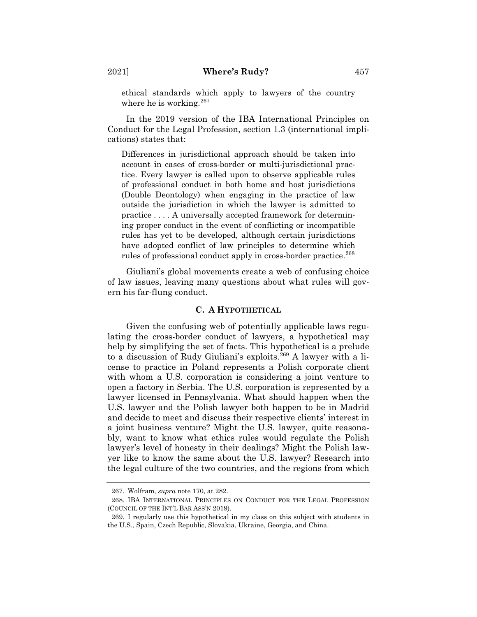ethical standards which apply to lawyers of the country

where he is working. $267$ 

In the 2019 version of the IBA International Principles on Conduct for the Legal Profession, section 1.3 (international implications) states that:

Differences in jurisdictional approach should be taken into account in cases of cross-border or multi-jurisdictional practice. Every lawyer is called upon to observe applicable rules of professional conduct in both home and host jurisdictions (Double Deontology) when engaging in the practice of law outside the jurisdiction in which the lawyer is admitted to practice . . . . A universally accepted framework for determining proper conduct in the event of conflicting or incompatible rules has yet to be developed, although certain jurisdictions have adopted conflict of law principles to determine which rules of professional conduct apply in cross-border practice.<sup>268</sup>

Giuliani's global movements create a web of confusing choice of law issues, leaving many questions about what rules will govern his far-flung conduct.

## **C. A HYPOTHETICAL**

Given the confusing web of potentially applicable laws regulating the cross-border conduct of lawyers, a hypothetical may help by simplifying the set of facts. This hypothetical is a prelude to a discussion of Rudy Giuliani's exploits.<sup>269</sup> A lawyer with a license to practice in Poland represents a Polish corporate client with whom a U.S. corporation is considering a joint venture to open a factory in Serbia. The U.S. corporation is represented by a lawyer licensed in Pennsylvania. What should happen when the U.S. lawyer and the Polish lawyer both happen to be in Madrid and decide to meet and discuss their respective clients' interest in a joint business venture? Might the U.S. lawyer, quite reasonably, want to know what ethics rules would regulate the Polish lawyer's level of honesty in their dealings? Might the Polish lawyer like to know the same about the U.S. lawyer? Research into the legal culture of the two countries, and the regions from which

<sup>267.</sup> Wolfram, *supra* note 170, at 282.

<sup>268.</sup> IBA INTERNATIONAL PRINCIPLES ON CONDUCT FOR THE LEGAL PROFESSION (COUNCIL OF THE INT'L BAR ASS'N 2019).

<sup>269.</sup> I regularly use this hypothetical in my class on this subject with students in the U.S., Spain, Czech Republic, Slovakia, Ukraine, Georgia, and China.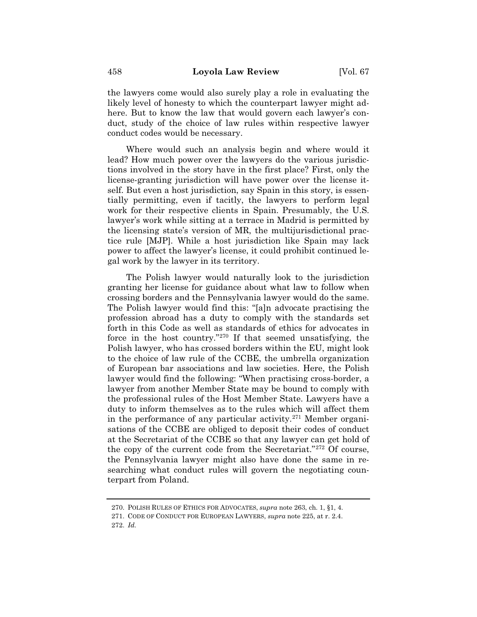the lawyers come would also surely play a role in evaluating the likely level of honesty to which the counterpart lawyer might adhere. But to know the law that would govern each lawyer's conduct, study of the choice of law rules within respective lawyer conduct codes would be necessary.

Where would such an analysis begin and where would it lead? How much power over the lawyers do the various jurisdictions involved in the story have in the first place? First, only the license-granting jurisdiction will have power over the license itself. But even a host jurisdiction, say Spain in this story, is essentially permitting, even if tacitly, the lawyers to perform legal work for their respective clients in Spain. Presumably, the U.S. lawyer's work while sitting at a terrace in Madrid is permitted by the licensing state's version of MR, the multijurisdictional practice rule [MJP]. While a host jurisdiction like Spain may lack power to affect the lawyer's license, it could prohibit continued legal work by the lawyer in its territory.

The Polish lawyer would naturally look to the jurisdiction granting her license for guidance about what law to follow when crossing borders and the Pennsylvania lawyer would do the same. The Polish lawyer would find this: "[a]n advocate practising the profession abroad has a duty to comply with the standards set forth in this Code as well as standards of ethics for advocates in force in the host country."270 If that seemed unsatisfying, the Polish lawyer, who has crossed borders within the EU, might look to the choice of law rule of the CCBE, the umbrella organization of European bar associations and law societies. Here, the Polish lawyer would find the following: "When practising cross-border, a lawyer from another Member State may be bound to comply with the professional rules of the Host Member State. Lawyers have a duty to inform themselves as to the rules which will affect them in the performance of any particular activity.<sup>271</sup> Member organisations of the CCBE are obliged to deposit their codes of conduct at the Secretariat of the CCBE so that any lawyer can get hold of the copy of the current code from the Secretariat."272 Of course, the Pennsylvania lawyer might also have done the same in researching what conduct rules will govern the negotiating counterpart from Poland.

<sup>270.</sup> POLISH RULES OF ETHICS FOR ADVOCATES, *supra* note 263, ch. 1, §1, 4.

<sup>271.</sup> CODE OF CONDUCT FOR EUROPEAN LAWYERS, *supra* note 225, at r. 2.4.

<sup>272.</sup> *Id.*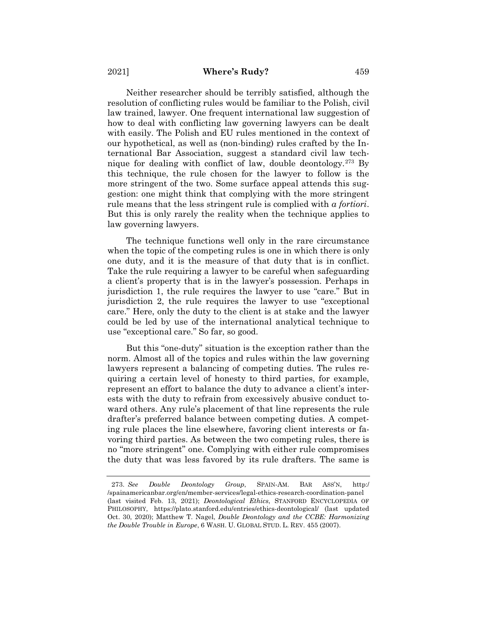#### 2021] **Where's Rudy?** 459

Neither researcher should be terribly satisfied, although the resolution of conflicting rules would be familiar to the Polish, civil law trained, lawyer. One frequent international law suggestion of how to deal with conflicting law governing lawyers can be dealt with easily. The Polish and EU rules mentioned in the context of our hypothetical, as well as (non-binding) rules crafted by the International Bar Association, suggest a standard civil law technique for dealing with conflict of law, double deontology.273 By this technique, the rule chosen for the lawyer to follow is the more stringent of the two. Some surface appeal attends this suggestion: one might think that complying with the more stringent rule means that the less stringent rule is complied with *a fortiori*. But this is only rarely the reality when the technique applies to law governing lawyers.

The technique functions well only in the rare circumstance when the topic of the competing rules is one in which there is only one duty, and it is the measure of that duty that is in conflict. Take the rule requiring a lawyer to be careful when safeguarding a client's property that is in the lawyer's possession. Perhaps in jurisdiction 1, the rule requires the lawyer to use "care." But in jurisdiction 2, the rule requires the lawyer to use "exceptional care." Here, only the duty to the client is at stake and the lawyer could be led by use of the international analytical technique to use "exceptional care." So far, so good.

But this "one-duty" situation is the exception rather than the norm. Almost all of the topics and rules within the law governing lawyers represent a balancing of competing duties. The rules requiring a certain level of honesty to third parties, for example, represent an effort to balance the duty to advance a client's interests with the duty to refrain from excessively abusive conduct toward others. Any rule's placement of that line represents the rule drafter's preferred balance between competing duties. A competing rule places the line elsewhere, favoring client interests or favoring third parties. As between the two competing rules, there is no "more stringent" one. Complying with either rule compromises the duty that was less favored by its rule drafters. The same is

<sup>273.</sup> *See Double Deontology Group*, SPAIN-AM. BAR ASS'N, http:/ /spainamericanbar.org/en/member-services/legal-ethics-research-coordination-panel (last visited Feb. 13, 2021); *Deontological Ethics*, STANFORD ENCYCLOPEDIA OF PHILOSOPHY, https://plato.stanford.edu/entries/ethics-deontological/ (last updated Oct. 30, 2020); Matthew T. Nagel, *Double Deontology and the CCBE: Harmonizing the Double Trouble in Europe*, 6 WASH. U. GLOBAL STUD. L. REV. 455 (2007).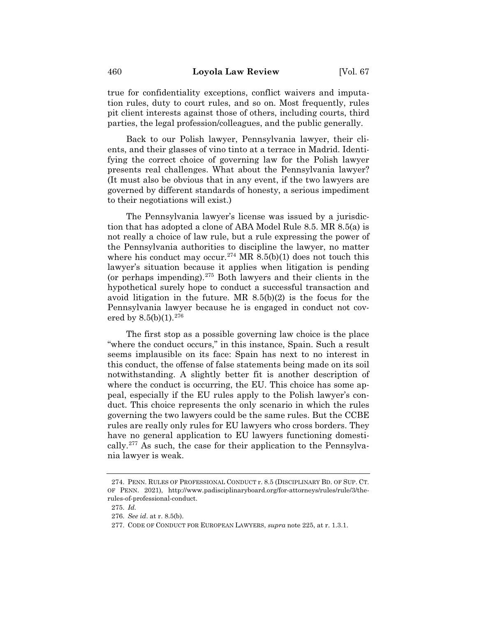true for confidentiality exceptions, conflict waivers and imputation rules, duty to court rules, and so on. Most frequently, rules pit client interests against those of others, including courts, third parties, the legal profession/colleagues, and the public generally.

Back to our Polish lawyer, Pennsylvania lawyer, their clients, and their glasses of vino tinto at a terrace in Madrid. Identifying the correct choice of governing law for the Polish lawyer presents real challenges. What about the Pennsylvania lawyer? (It must also be obvious that in any event, if the two lawyers are governed by different standards of honesty, a serious impediment to their negotiations will exist.)

The Pennsylvania lawyer's license was issued by a jurisdiction that has adopted a clone of ABA Model Rule 8.5. MR 8.5(a) is not really a choice of law rule, but a rule expressing the power of the Pennsylvania authorities to discipline the lawyer, no matter where his conduct may occur.<sup>274</sup> MR 8.5(b)(1) does not touch this lawyer's situation because it applies when litigation is pending (or perhaps impending).<sup>275</sup> Both lawyers and their clients in the hypothetical surely hope to conduct a successful transaction and avoid litigation in the future. MR 8.5(b)(2) is the focus for the Pennsylvania lawyer because he is engaged in conduct not covered by  $8.5(b)(1).^{276}$ 

The first stop as a possible governing law choice is the place "where the conduct occurs," in this instance, Spain. Such a result seems implausible on its face: Spain has next to no interest in this conduct, the offense of false statements being made on its soil notwithstanding. A slightly better fit is another description of where the conduct is occurring, the EU. This choice has some appeal, especially if the EU rules apply to the Polish lawyer's conduct. This choice represents the only scenario in which the rules governing the two lawyers could be the same rules. But the CCBE rules are really only rules for EU lawyers who cross borders. They have no general application to EU lawyers functioning domestically.277 As such, the case for their application to the Pennsylvania lawyer is weak.

<sup>274.</sup> PENN. RULES OF PROFESSIONAL CONDUCT r. 8.5 (DISCIPLINARY BD. OF SUP. CT. OF PENN. 2021), http://www.padisciplinaryboard.org/for-attorneys/rules/rule/3/therules-of-professional-conduct.

<sup>275.</sup> *Id.* 

<sup>276.</sup> *See id*. at r. 8.5(b).

<sup>277.</sup> CODE OF CONDUCT FOR EUROPEAN LAWYERS, *supra* note 225, at r. 1.3.1.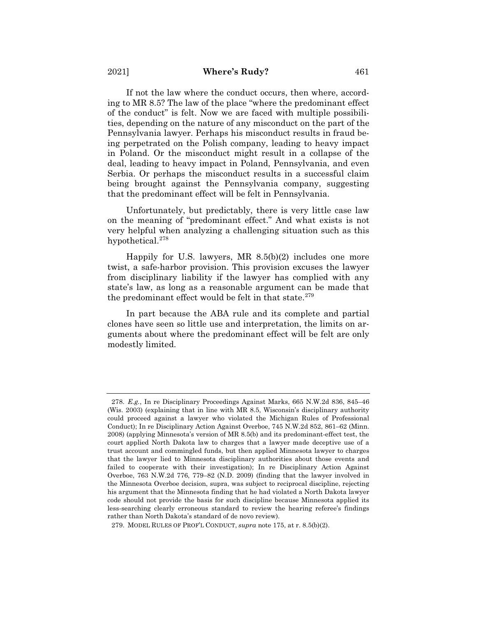#### 2021] **Where's Rudy?** 461

If not the law where the conduct occurs, then where, according to MR 8.5? The law of the place "where the predominant effect of the conduct" is felt. Now we are faced with multiple possibilities, depending on the nature of any misconduct on the part of the Pennsylvania lawyer. Perhaps his misconduct results in fraud being perpetrated on the Polish company, leading to heavy impact in Poland. Or the misconduct might result in a collapse of the deal, leading to heavy impact in Poland, Pennsylvania, and even Serbia. Or perhaps the misconduct results in a successful claim being brought against the Pennsylvania company, suggesting that the predominant effect will be felt in Pennsylvania.

Unfortunately, but predictably, there is very little case law on the meaning of "predominant effect." And what exists is not very helpful when analyzing a challenging situation such as this hypothetical.<sup>278</sup>

Happily for U.S. lawyers, MR 8.5(b)(2) includes one more twist, a safe-harbor provision. This provision excuses the lawyer from disciplinary liability if the lawyer has complied with any state's law, as long as a reasonable argument can be made that the predominant effect would be felt in that state.<sup>279</sup>

In part because the ABA rule and its complete and partial clones have seen so little use and interpretation, the limits on arguments about where the predominant effect will be felt are only modestly limited.

<sup>278.</sup> *E.g.*, In re Disciplinary Proceedings Against Marks, 665 N.W.2d 836, 845–46 (Wis. 2003) (explaining that in line with MR 8.5, Wisconsin's disciplinary authority could proceed against a lawyer who violated the Michigan Rules of Professional Conduct); In re Disciplinary Action Against Overboe, 745 N.W.2d 852, 861–62 (Minn. 2008) (applying Minnesota's version of MR 8.5(b) and its predominant-effect test, the court applied North Dakota law to charges that a lawyer made deceptive use of a trust account and commingled funds, but then applied Minnesota lawyer to charges that the lawyer lied to Minnesota disciplinary authorities about those events and failed to cooperate with their investigation); In re Disciplinary Action Against Overboe, 763 N.W.2d 776, 779–82 (N.D. 2009) (finding that the lawyer involved in the Minnesota Overboe decision, supra, was subject to reciprocal discipline, rejecting his argument that the Minnesota finding that he had violated a North Dakota lawyer code should not provide the basis for such discipline because Minnesota applied its less-searching clearly erroneous standard to review the hearing referee's findings rather than North Dakota's standard of de novo review).

<sup>279.</sup> MODEL RULES OF PROF'L CONDUCT, *supra* note 175, at r. 8.5(b)(2).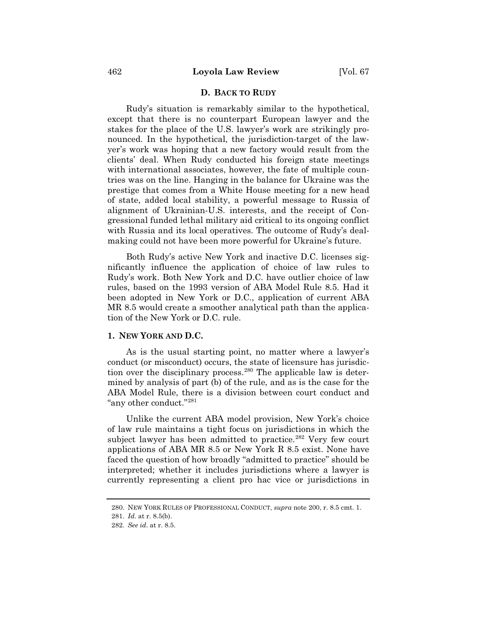#### **D. BACK TO RUDY**

Rudy's situation is remarkably similar to the hypothetical, except that there is no counterpart European lawyer and the stakes for the place of the U.S. lawyer's work are strikingly pronounced. In the hypothetical, the jurisdiction-target of the lawyer's work was hoping that a new factory would result from the clients' deal. When Rudy conducted his foreign state meetings with international associates, however, the fate of multiple countries was on the line. Hanging in the balance for Ukraine was the prestige that comes from a White House meeting for a new head of state, added local stability, a powerful message to Russia of alignment of Ukrainian-U.S. interests, and the receipt of Congressional funded lethal military aid critical to its ongoing conflict with Russia and its local operatives. The outcome of Rudy's dealmaking could not have been more powerful for Ukraine's future.

Both Rudy's active New York and inactive D.C. licenses significantly influence the application of choice of law rules to Rudy's work. Both New York and D.C. have outlier choice of law rules, based on the 1993 version of ABA Model Rule 8.5. Had it been adopted in New York or D.C., application of current ABA MR 8.5 would create a smoother analytical path than the application of the New York or D.C. rule.

#### **1. NEW YORK AND D.C.**

As is the usual starting point, no matter where a lawyer's conduct (or misconduct) occurs, the state of licensure has jurisdiction over the disciplinary process.<sup>280</sup> The applicable law is determined by analysis of part (b) of the rule, and as is the case for the ABA Model Rule, there is a division between court conduct and "any other conduct."<sup>281</sup>

Unlike the current ABA model provision, New York's choice of law rule maintains a tight focus on jurisdictions in which the subject lawyer has been admitted to practice.<sup>282</sup> Very few court applications of ABA MR 8.5 or New York R 8.5 exist. None have faced the question of how broadly "admitted to practice" should be interpreted; whether it includes jurisdictions where a lawyer is currently representing a client pro hac vice or jurisdictions in

<sup>280.</sup> NEW YORK RULES OF PROFESSIONAL CONDUCT, *supra* note 200, r. 8.5 cmt. 1.

<sup>281.</sup> *Id.* at r. 8.5(b).

<sup>282.</sup> *See id*. at r. 8.5.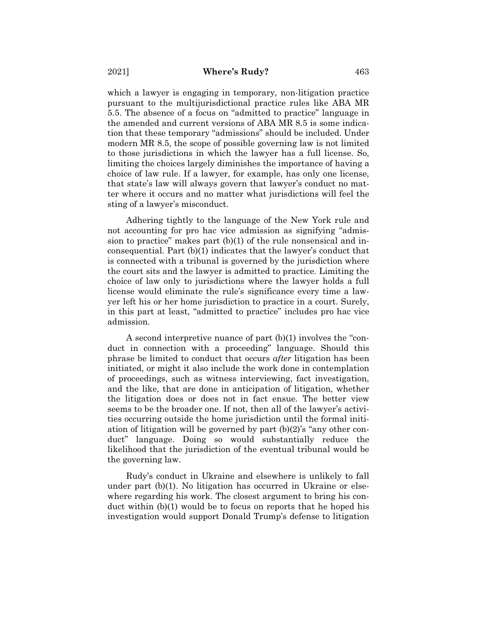which a lawyer is engaging in temporary, non-litigation practice pursuant to the multijurisdictional practice rules like ABA MR 5.5. The absence of a focus on "admitted to practice" language in the amended and current versions of ABA MR 8.5 is some indication that these temporary "admissions" should be included. Under modern MR 8.5, the scope of possible governing law is not limited to those jurisdictions in which the lawyer has a full license. So, limiting the choices largely diminishes the importance of having a choice of law rule. If a lawyer, for example, has only one license, that state's law will always govern that lawyer's conduct no matter where it occurs and no matter what jurisdictions will feel the sting of a lawyer's misconduct.

Adhering tightly to the language of the New York rule and not accounting for pro hac vice admission as signifying "admission to practice" makes part (b)(1) of the rule nonsensical and inconsequential. Part (b)(1) indicates that the lawyer's conduct that is connected with a tribunal is governed by the jurisdiction where the court sits and the lawyer is admitted to practice. Limiting the choice of law only to jurisdictions where the lawyer holds a full license would eliminate the rule's significance every time a lawyer left his or her home jurisdiction to practice in a court. Surely, in this part at least, "admitted to practice" includes pro hac vice admission.

A second interpretive nuance of part (b)(1) involves the "conduct in connection with a proceeding" language. Should this phrase be limited to conduct that occurs *after* litigation has been initiated, or might it also include the work done in contemplation of proceedings, such as witness interviewing, fact investigation, and the like, that are done in anticipation of litigation, whether the litigation does or does not in fact ensue. The better view seems to be the broader one. If not, then all of the lawyer's activities occurring outside the home jurisdiction until the formal initiation of litigation will be governed by part (b)(2)'s "any other conduct" language. Doing so would substantially reduce the likelihood that the jurisdiction of the eventual tribunal would be the governing law.

Rudy's conduct in Ukraine and elsewhere is unlikely to fall under part (b)(1). No litigation has occurred in Ukraine or elsewhere regarding his work. The closest argument to bring his conduct within (b)(1) would be to focus on reports that he hoped his investigation would support Donald Trump's defense to litigation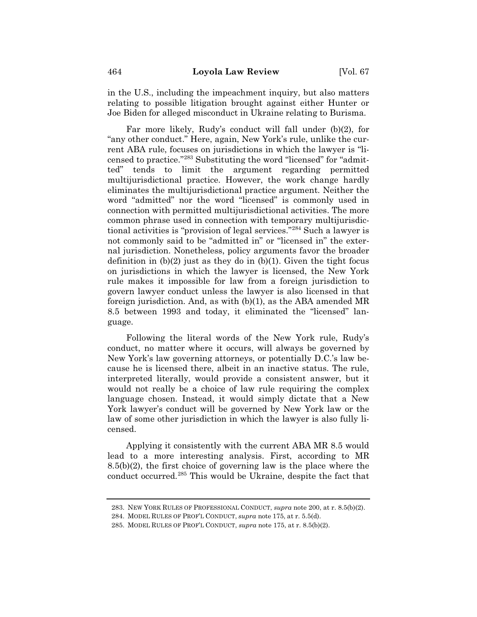in the U.S., including the impeachment inquiry, but also matters relating to possible litigation brought against either Hunter or Joe Biden for alleged misconduct in Ukraine relating to Burisma.

Far more likely, Rudy's conduct will fall under (b)(2), for "any other conduct." Here, again, New York's rule, unlike the current ABA rule, focuses on jurisdictions in which the lawyer is "licensed to practice."283 Substituting the word "licensed" for "admitted" tends to limit the argument regarding permitted multijurisdictional practice. However, the work change hardly eliminates the multijurisdictional practice argument. Neither the word "admitted" nor the word "licensed" is commonly used in connection with permitted multijurisdictional activities. The more common phrase used in connection with temporary multijurisdictional activities is "provision of legal services."284 Such a lawyer is not commonly said to be "admitted in" or "licensed in" the external jurisdiction. Nonetheless, policy arguments favor the broader definition in  $(b)(2)$  just as they do in  $(b)(1)$ . Given the tight focus on jurisdictions in which the lawyer is licensed, the New York rule makes it impossible for law from a foreign jurisdiction to govern lawyer conduct unless the lawyer is also licensed in that foreign jurisdiction. And, as with (b)(1), as the ABA amended MR 8.5 between 1993 and today, it eliminated the "licensed" language.

Following the literal words of the New York rule, Rudy's conduct, no matter where it occurs, will always be governed by New York's law governing attorneys, or potentially D.C.'s law because he is licensed there, albeit in an inactive status. The rule, interpreted literally, would provide a consistent answer, but it would not really be a choice of law rule requiring the complex language chosen. Instead, it would simply dictate that a New York lawyer's conduct will be governed by New York law or the law of some other jurisdiction in which the lawyer is also fully licensed.

Applying it consistently with the current ABA MR 8.5 would lead to a more interesting analysis. First, according to MR 8.5(b)(2), the first choice of governing law is the place where the conduct occurred.285 This would be Ukraine, despite the fact that

<sup>283.</sup> NEW YORK RULES OF PROFESSIONAL CONDUCT, *supra* note 200, at r. 8.5(b)(2).

<sup>284.</sup> MODEL RULES OF PROF'L CONDUCT, *supra* note 175, at r. 5.5(d).

<sup>285.</sup> MODEL RULES OF PROF'L CONDUCT, *supra* note 175, at r. 8.5(b)(2).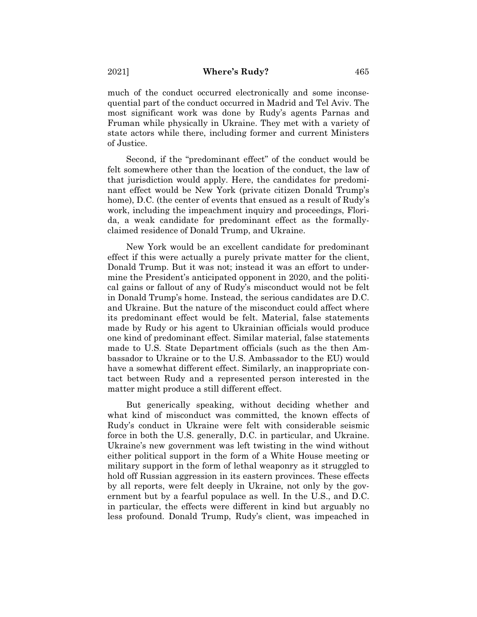much of the conduct occurred electronically and some inconsequential part of the conduct occurred in Madrid and Tel Aviv. The most significant work was done by Rudy's agents Parnas and Fruman while physically in Ukraine. They met with a variety of state actors while there, including former and current Ministers of Justice.

Second, if the "predominant effect" of the conduct would be felt somewhere other than the location of the conduct, the law of that jurisdiction would apply. Here, the candidates for predominant effect would be New York (private citizen Donald Trump's home), D.C. (the center of events that ensued as a result of Rudy's work, including the impeachment inquiry and proceedings, Florida, a weak candidate for predominant effect as the formallyclaimed residence of Donald Trump, and Ukraine.

New York would be an excellent candidate for predominant effect if this were actually a purely private matter for the client, Donald Trump. But it was not; instead it was an effort to undermine the President's anticipated opponent in 2020, and the political gains or fallout of any of Rudy's misconduct would not be felt in Donald Trump's home. Instead, the serious candidates are D.C. and Ukraine. But the nature of the misconduct could affect where its predominant effect would be felt. Material, false statements made by Rudy or his agent to Ukrainian officials would produce one kind of predominant effect. Similar material, false statements made to U.S. State Department officials (such as the then Ambassador to Ukraine or to the U.S. Ambassador to the EU) would have a somewhat different effect. Similarly, an inappropriate contact between Rudy and a represented person interested in the matter might produce a still different effect.

But generically speaking, without deciding whether and what kind of misconduct was committed, the known effects of Rudy's conduct in Ukraine were felt with considerable seismic force in both the U.S. generally, D.C. in particular, and Ukraine. Ukraine's new government was left twisting in the wind without either political support in the form of a White House meeting or military support in the form of lethal weaponry as it struggled to hold off Russian aggression in its eastern provinces. These effects by all reports, were felt deeply in Ukraine, not only by the government but by a fearful populace as well. In the U.S., and D.C. in particular, the effects were different in kind but arguably no less profound. Donald Trump, Rudy's client, was impeached in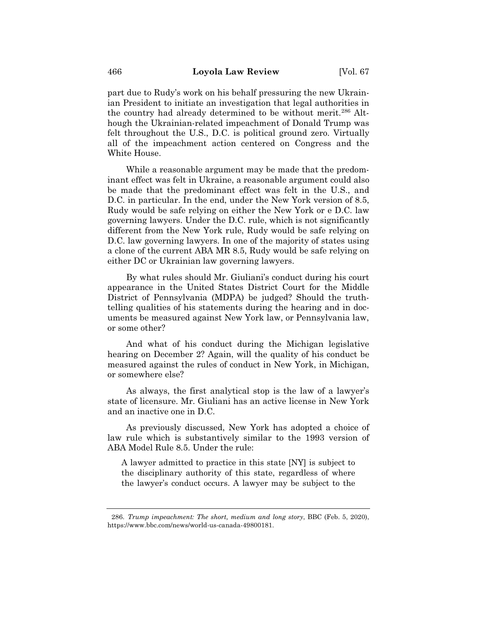part due to Rudy's work on his behalf pressuring the new Ukrainian President to initiate an investigation that legal authorities in the country had already determined to be without merit.<sup>286</sup> Although the Ukrainian-related impeachment of Donald Trump was felt throughout the U.S., D.C. is political ground zero. Virtually all of the impeachment action centered on Congress and the White House.

While a reasonable argument may be made that the predominant effect was felt in Ukraine, a reasonable argument could also be made that the predominant effect was felt in the U.S., and D.C. in particular. In the end, under the New York version of 8.5, Rudy would be safe relying on either the New York or e D.C. law governing lawyers. Under the D.C. rule, which is not significantly different from the New York rule, Rudy would be safe relying on D.C. law governing lawyers. In one of the majority of states using a clone of the current ABA MR 8.5, Rudy would be safe relying on either DC or Ukrainian law governing lawyers.

By what rules should Mr. Giuliani's conduct during his court appearance in the United States District Court for the Middle District of Pennsylvania (MDPA) be judged? Should the truthtelling qualities of his statements during the hearing and in documents be measured against New York law, or Pennsylvania law, or some other?

And what of his conduct during the Michigan legislative hearing on December 2? Again, will the quality of his conduct be measured against the rules of conduct in New York, in Michigan, or somewhere else?

As always, the first analytical stop is the law of a lawyer's state of licensure. Mr. Giuliani has an active license in New York and an inactive one in D.C.

As previously discussed, New York has adopted a choice of law rule which is substantively similar to the 1993 version of ABA Model Rule 8.5. Under the rule:

A lawyer admitted to practice in this state [NY] is subject to the disciplinary authority of this state, regardless of where the lawyer's conduct occurs. A lawyer may be subject to the

<sup>286.</sup> *Trump impeachment: The short, medium and long story*, BBC (Feb. 5, 2020), https://www.bbc.com/news/world-us-canada-49800181.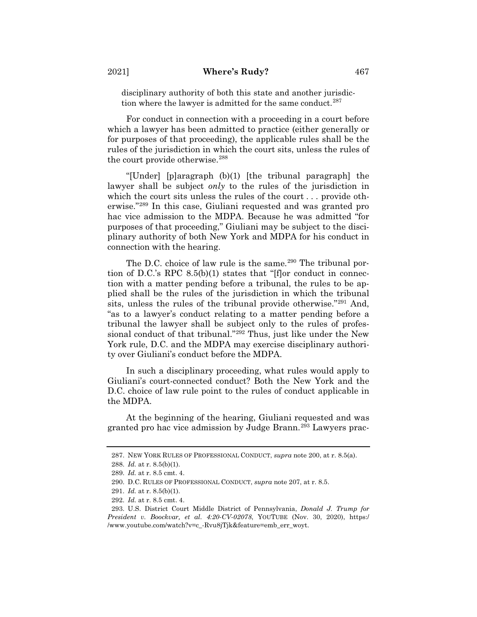disciplinary authority of both this state and another jurisdiction where the lawyer is admitted for the same conduct.<sup>287</sup>

For conduct in connection with a proceeding in a court before which a lawyer has been admitted to practice (either generally or for purposes of that proceeding), the applicable rules shall be the rules of the jurisdiction in which the court sits, unless the rules of the court provide otherwise.<sup>288</sup>

"[Under] [p]aragraph (b)(1) [the tribunal paragraph] the lawyer shall be subject *only* to the rules of the jurisdiction in which the court sits unless the rules of the court . . . provide otherwise."289 In this case, Giuliani requested and was granted pro hac vice admission to the MDPA. Because he was admitted "for purposes of that proceeding," Giuliani may be subject to the disciplinary authority of both New York and MDPA for his conduct in connection with the hearing.

The D.C. choice of law rule is the same.<sup>290</sup> The tribunal portion of D.C.'s RPC 8.5(b)(1) states that "[f]or conduct in connection with a matter pending before a tribunal, the rules to be applied shall be the rules of the jurisdiction in which the tribunal sits, unless the rules of the tribunal provide otherwise."291 And, "as to a lawyer's conduct relating to a matter pending before a tribunal the lawyer shall be subject only to the rules of professional conduct of that tribunal."<sup>292</sup> Thus, just like under the New York rule, D.C. and the MDPA may exercise disciplinary authority over Giuliani's conduct before the MDPA.

In such a disciplinary proceeding, what rules would apply to Giuliani's court-connected conduct? Both the New York and the D.C. choice of law rule point to the rules of conduct applicable in the MDPA.

At the beginning of the hearing, Giuliani requested and was granted pro hac vice admission by Judge Brann.<sup>293</sup> Lawyers prac-

<sup>287.</sup> NEW YORK RULES OF PROFESSIONAL CONDUCT, *supra* note 200, at r. 8.5(a).

<sup>288.</sup> *Id.* at r. 8.5(b)(1).

<sup>289.</sup> *Id.* at r. 8.5 cmt. 4.

<sup>290.</sup> D.C. RULES OF PROFESSIONAL CONDUCT, *supra* note 207, at r. 8.5.

<sup>291.</sup> *Id.* at r. 8.5(b)(1).

<sup>292.</sup> *Id.* at r. 8.5 cmt. 4.

<sup>293.</sup> U.S. District Court Middle District of Pennsylvania, *Donald J. Trump for President v. Boockvar, et al. 4:20-CV-02078*, YOUTUBE (Nov. 30, 2020), https:/ /www.youtube.com/watch?v=c\_-Rvu8jTjk&feature=emb\_err\_woyt.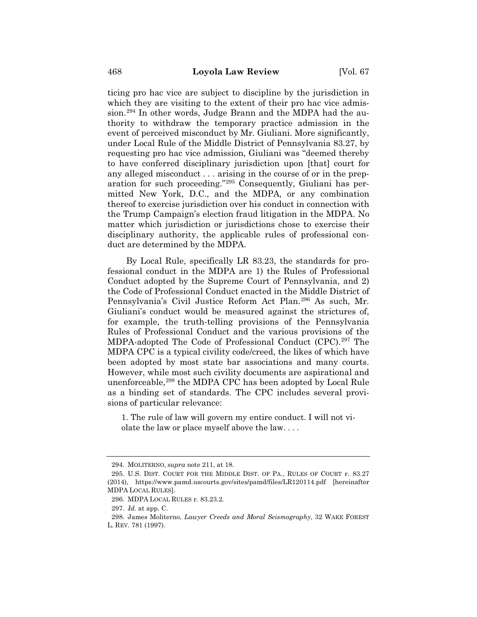ticing pro hac vice are subject to discipline by the jurisdiction in which they are visiting to the extent of their pro hac vice admission.<sup>294</sup> In other words, Judge Brann and the MDPA had the authority to withdraw the temporary practice admission in the event of perceived misconduct by Mr. Giuliani. More significantly, under Local Rule of the Middle District of Pennsylvania 83.27, by requesting pro hac vice admission, Giuliani was "deemed thereby to have conferred disciplinary jurisdiction upon [that] court for any alleged misconduct . . . arising in the course of or in the preparation for such proceeding."295 Consequently, Giuliani has permitted New York, D.C., and the MDPA, or any combination thereof to exercise jurisdiction over his conduct in connection with the Trump Campaign's election fraud litigation in the MDPA. No matter which jurisdiction or jurisdictions chose to exercise their disciplinary authority, the applicable rules of professional conduct are determined by the MDPA.

By Local Rule, specifically LR 83.23, the standards for professional conduct in the MDPA are 1) the Rules of Professional Conduct adopted by the Supreme Court of Pennsylvania, and 2) the Code of Professional Conduct enacted in the Middle District of Pennsylvania's Civil Justice Reform Act Plan.<sup>296</sup> As such, Mr. Giuliani's conduct would be measured against the strictures of, for example, the truth-telling provisions of the Pennsylvania Rules of Professional Conduct and the various provisions of the MDPA-adopted The Code of Professional Conduct (CPC).297 The MDPA CPC is a typical civility code/creed, the likes of which have been adopted by most state bar associations and many courts. However, while most such civility documents are aspirational and unenforceable,<sup>298</sup> the MDPA CPC has been adopted by Local Rule as a binding set of standards. The CPC includes several provisions of particular relevance:

1. The rule of law will govern my entire conduct. I will not violate the law or place myself above the law. . . .

<sup>294.</sup> MOLITERNO, *supra* note 211, at 18.

<sup>295.</sup> U.S. DIST. COURT FOR THE MIDDLE DIST. OF PA., RULES OF COURT r. 83.27 (2014), https://www.pamd.uscourts.gov/sites/pamd/files/LR120114.pdf [hereinafter MDPA LOCAL RULES].

<sup>296.</sup> MDPA LOCAL RULES r. 83.23.2.

<sup>297.</sup> *Id.* at app. C.

<sup>298.</sup> James Moliterno, *Lawyer Creeds and Moral Seismography*, 32 WAKE FOREST L. REV. 781 (1997).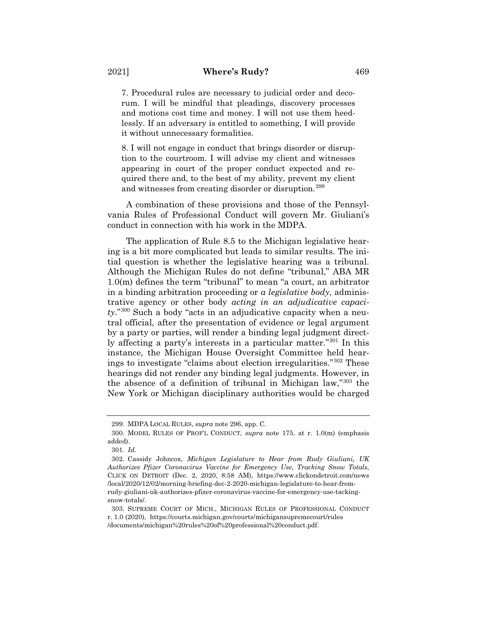7. Procedural rules are necessary to judicial order and decorum. I will be mindful that pleadings, discovery processes and motions cost time and money. I will not use them heedlessly. If an adversary is entitled to something, I will provide it without unnecessary formalities.

8. I will not engage in conduct that brings disorder or disruption to the courtroom. I will advise my client and witnesses appearing in court of the proper conduct expected and required there and, to the best of my ability, prevent my client and witnesses from creating disorder or disruption.<sup>299</sup>

A combination of these provisions and those of the Pennsylvania Rules of Professional Conduct will govern Mr. Giuliani's conduct in connection with his work in the MDPA.

The application of Rule 8.5 to the Michigan legislative hearing is a bit more complicated but leads to similar results. The initial question is whether the legislative hearing was a tribunal. Although the Michigan Rules do not define "tribunal," ABA MR 1.0(m) defines the term "tribunal" to mean "a court, an arbitrator in a binding arbitration proceeding or *a legislative body*, administrative agency or other body *acting in an adjudicative capacity*."300 Such a body "acts in an adjudicative capacity when a neutral official, after the presentation of evidence or legal argument by a party or parties, will render a binding legal judgment directly affecting a party's interests in a particular matter."301 In this instance, the Michigan House Oversight Committee held hearings to investigate "claims about election irregularities."302 These hearings did not render any binding legal judgments. However, in the absence of a definition of tribunal in Michigan law,"303 the New York or Michigan disciplinary authorities would be charged

<sup>299.</sup> MDPA LOCAL RULES, *supra* note 296, app. C.

<sup>300.</sup> MODEL RULES OF PROF'L CONDUCT, *supra* note 175, at r. 1.0(m) (emphasis added).

<sup>301.</sup> *Id.*

<sup>302.</sup> Cassidy Johncox, *Michigan Legislature to Hear from Rudy Giuliani, UK Authorizes Pfizer Coronavirus Vaccine for Emergency Use, Tracking Snow Totals*, CLICK ON DETROIT (Dec. 2, 2020, 8:58 AM), https://www.clickondetroit.com/news /local/2020/12/02/morning-briefing-dec-2-2020-michigan-legislature-to-hear-fromrudy-giuliani-uk-authorizes-pfizer-coronavirus-vaccine-for-emergency-use-tackingsnow-totals/.

<sup>303.</sup> SUPREME COURT OF MICH., MICHIGAN RULES OF PROFESSIONAL CONDUCT r. 1.0 (2020), https://courts.michigan.gov/courts/michigansupremecourt/rules /documents/michigan%20rules%20of%20professional%20conduct.pdf.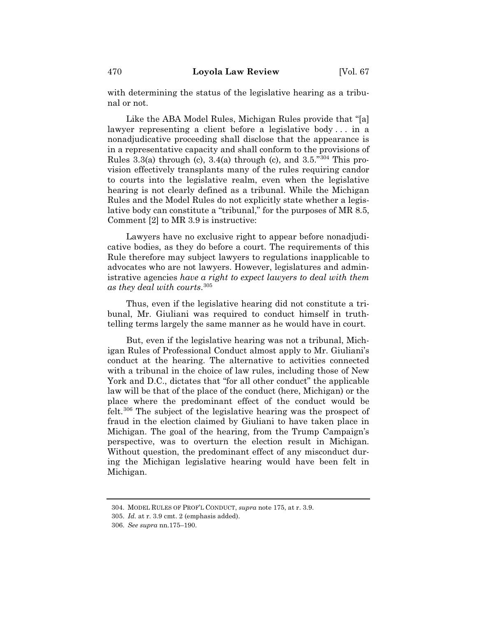with determining the status of the legislative hearing as a tribunal or not.

Like the ABA Model Rules, Michigan Rules provide that "[a] lawyer representing a client before a legislative body . . . in a nonadjudicative proceeding shall disclose that the appearance is in a representative capacity and shall conform to the provisions of Rules 3.3(a) through (c), 3.4(a) through (c), and  $3.5.^{304}$  This provision effectively transplants many of the rules requiring candor to courts into the legislative realm, even when the legislative hearing is not clearly defined as a tribunal. While the Michigan Rules and the Model Rules do not explicitly state whether a legislative body can constitute a "tribunal," for the purposes of MR 8.5, Comment [2] to MR 3.9 is instructive:

Lawyers have no exclusive right to appear before nonadjudicative bodies, as they do before a court. The requirements of this Rule therefore may subject lawyers to regulations inapplicable to advocates who are not lawyers. However, legislatures and administrative agencies *have a right to expect lawyers to deal with them as they deal with courts*. 305

Thus, even if the legislative hearing did not constitute a tribunal, Mr. Giuliani was required to conduct himself in truthtelling terms largely the same manner as he would have in court.

But, even if the legislative hearing was not a tribunal, Michigan Rules of Professional Conduct almost apply to Mr. Giuliani's conduct at the hearing. The alternative to activities connected with a tribunal in the choice of law rules, including those of New York and D.C., dictates that "for all other conduct" the applicable law will be that of the place of the conduct (here, Michigan) or the place where the predominant effect of the conduct would be felt.306 The subject of the legislative hearing was the prospect of fraud in the election claimed by Giuliani to have taken place in Michigan. The goal of the hearing, from the Trump Campaign's perspective, was to overturn the election result in Michigan. Without question, the predominant effect of any misconduct during the Michigan legislative hearing would have been felt in Michigan.

<sup>304.</sup> MODEL RULES OF PROF'L CONDUCT, *supra* note 175, at r. 3.9.

<sup>305.</sup> *Id.* at r. 3.9 cmt. 2 (emphasis added).

<sup>306.</sup> *See supra* nn.175–190.